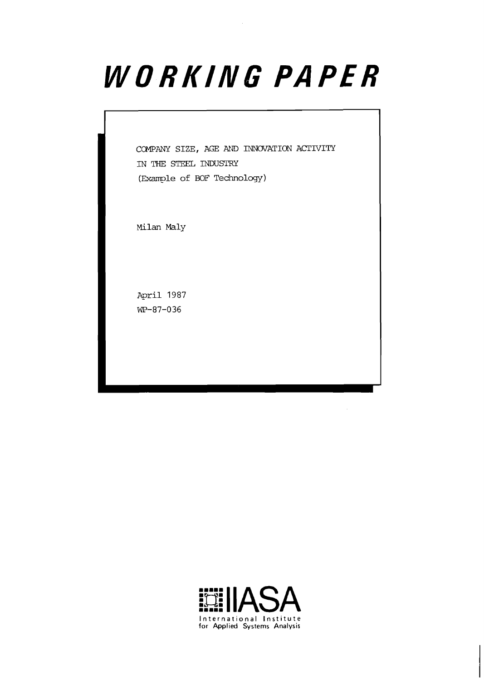# WORKING PAPER

COMPANY SIZE, AGE AND INNOVATION ACTIVITY IN THE STEEL INDUSTRY (Example of BOF Technology)

Milan Maly

April 1987 WP-87-036



 $\bar{z}$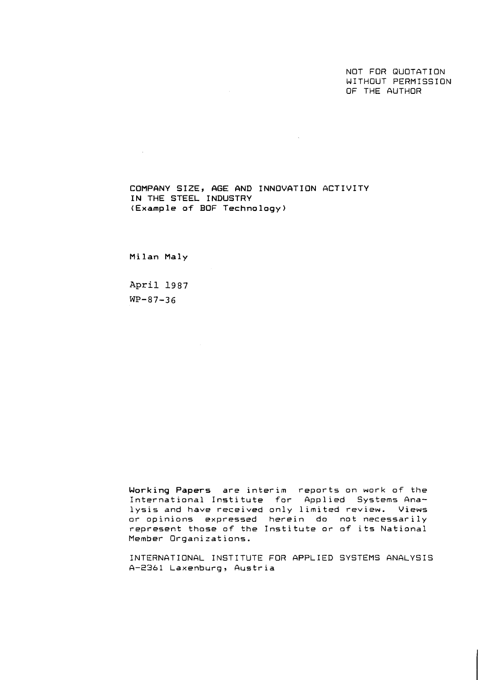NOT FOR QUOTATION WITHOUT PERMISSION OF THE AUTHOR

COMPANY SIZE, AGE AND INNOVATION ACTIVITY IN THE STEEL INDUSTRY (Example **of** BOF Technology)

 $\sim 10^{11}$  km s  $^{-1}$ 

Milan Maly

 $\sim 10^{-11}$ 

**April 1987 WP-87-36** 

Working Papers are interim reports on work of the International Institute for Applied Systems Analysis and have received only limited review. Views or opinions expressed herein do not necessarily represent those of the Institute or of its National Member Organizations.

INTERNATIONAL INSTITUTE FOR APPLIED SYSTEMS ANALYSIS A-2361 Laxenburg, Austria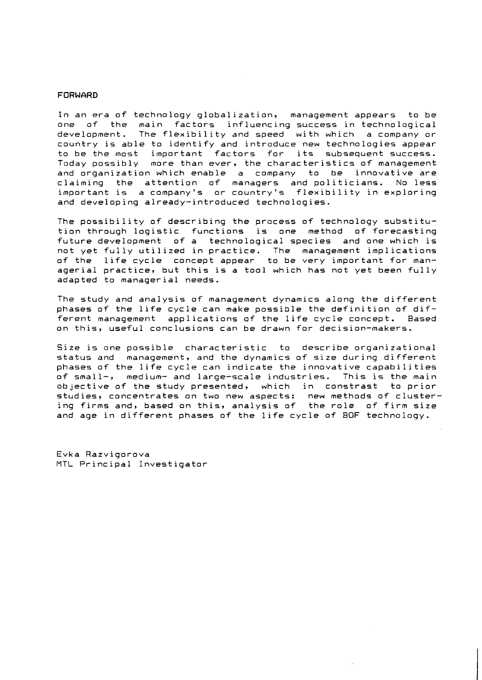#### FORWARD

In an era of technology globalization, management appears to be one of the main factors influencing success in technological development. The flexibility and speed with which a company or country is able to identify and introduce new technologies appear to be the most important factors for its subsequent success. Today possibly more than ever, the characteristics of management and organization which enable a company to be innovative are claiming the attention of managers and politicians. No less important is a company's or country's flexibility in exploring and developing already-introduced technolcgies.

The possibility of describing the process of technology substitution through logistic functions is one method of forecasting future development of a technological species and one which is not yet fully utilized in practice. The management implications of the life cycle concept appear to be very important for managerial practice, but this is a tool which has not yet been fully adapted to managerial needs.

The study and analysis of management dynamics along the different phases of the life cycle can make possible the definition of different management applications of the life cycle concept. Based on this, useful conclusions can be drawn for decision-makers.

Size is one possible characteristic to describe organizational status and management, and the dynamics of size during different phases of the life cycle can indicate the innovative capabilities<br>of small-, medium- and laroe-scale industries. This is the main of small-, medium- and large-scale industries. This is the main<br>objective of the study presented, which in constrast to prior objective of the study presented, which in constrast studies, concentrates on two new aspects: new methods of clustering firms and, based on this, analysis of the role of firm size and age in different phases of the life cycle of BOF technology.

Evka Razvigorova MTL Principal Investigator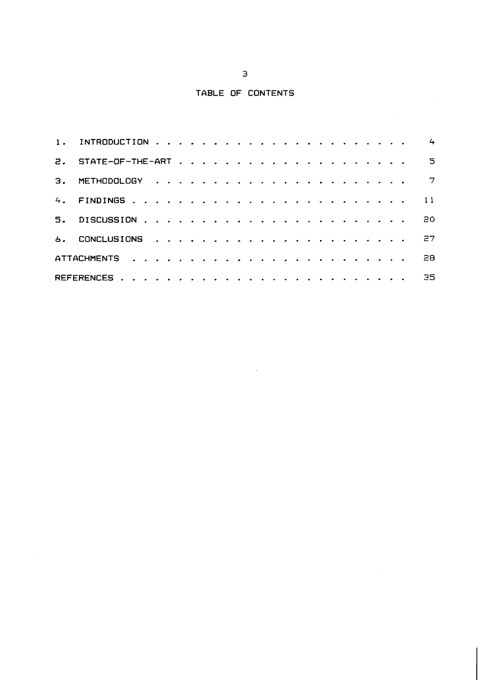## **TABLE OF CONTENTS**

 $\hat{\boldsymbol{\theta}}$ 

 $\sim 10^7$ 

|  |  |  |  |  |  |  |  |  |  |  |  | $\leftarrow$               |
|--|--|--|--|--|--|--|--|--|--|--|--|----------------------------|
|  |  |  |  |  |  |  |  |  |  |  |  | $\overline{\phantom{0}}$ 5 |
|  |  |  |  |  |  |  |  |  |  |  |  | $\overline{7}$             |
|  |  |  |  |  |  |  |  |  |  |  |  | 11                         |
|  |  |  |  |  |  |  |  |  |  |  |  | 20.                        |
|  |  |  |  |  |  |  |  |  |  |  |  | -27                        |
|  |  |  |  |  |  |  |  |  |  |  |  | 28.                        |
|  |  |  |  |  |  |  |  |  |  |  |  | 35.                        |

 $\sim$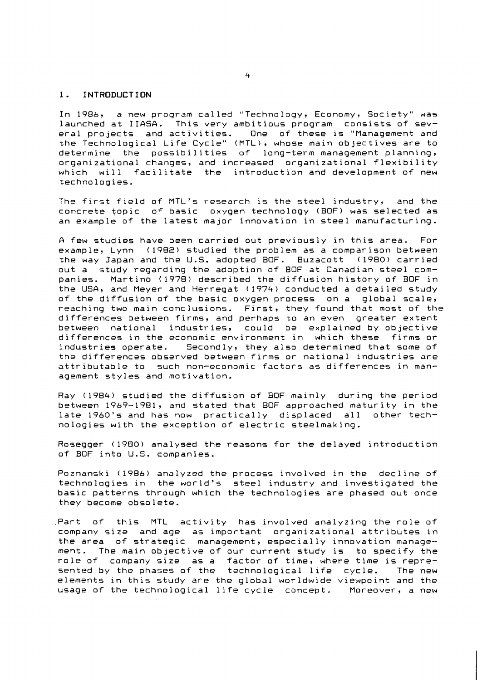#### **1.** INTRODUCTION

In 1986, a new program called "Technology, Economy, Society" was launched at IIASA. This very ambitious program consists of sev-<br>eral projects and activities. One of these is "Management and One of these is "Management and the Technological Life Cycle" (MTL), whose main objectives are to determine the possibilities of long-term management planning, organizational changes, and increased organizational flexibility which will facilitate the introduction and development of new technologies.

The first field of MTL's research is the steel industry, and the concrete topic of basic oxygen technology (BOF) was selected as an example of the latest major innovation in steel manufacturing.

A few studies have been carried out previously in this area. For example, Lynn (1982) studied the problem as a comparison between<br>the way Japan and the U.S. adopted BOF. Buzacott (1980) carried the way Japan and the U.S. adopted BOF. Buzacott out a study regarding the adoption of BOF at Canadian steel companies. Martino (1978) described the diffusion history of BOF in the IJSA, and Meyer and Herregat (1974) conducted a detailed study of the diffusion of the basic oxygen process on a global scale, reaching two main conclusions. First, they found that most of the differences between firms, and perhaps to an even greater extent between national industries, could be explained by objective differences in the economic environment in which these<br>industries operate. Secondly, they also determined tha Secondly, they also determined that some of the differences observed between firms or national industries are attributable to such non-economic factors as differences in management styles and motivation.

Ray (1984) studied the diffusion of BOF mainly during the period between 1969-1981, and stated that BOF approached maturity in the late 1960's and has now practically displaced all nologies with the exception of electric steelmaking.

Rosegger ( 1980) analysed the reasons for the delayed introduction of BOF into U.S. companies.

Poznanski (1986) analyzed the process involved in the decline of technologies in the world's steel industry and investigated the basic patterns through which the technologies are phased out once they become obsolete.

Part of this MTL activity has involved analyzing the role of company size and age as important organizational attributes in the area of strategic management, especially innovation management. The main objective of our current study is to specify the role of company size as a factor of time, where time is represented by the phases of the technological life cycle. The new elements in this study are the global worldwide viewpoint and the usage of the technological life cycle concept. Moreover, a new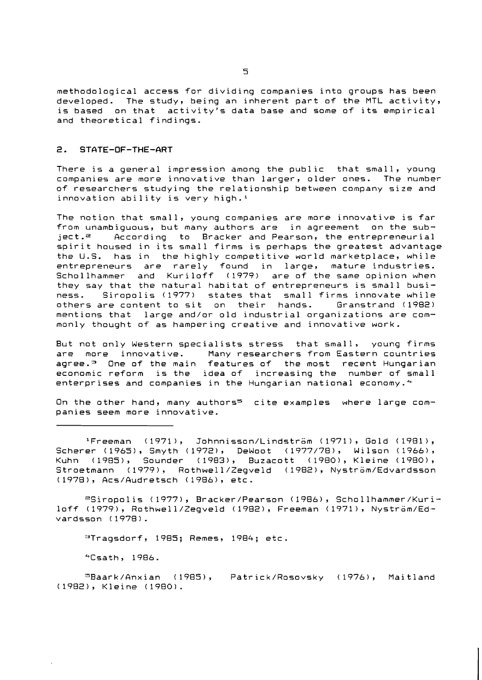methodological access for dividing companies into groups has been developed. The study, being an inherent part of the MTL activity, is based on that activity's data base and some of its empirical and theoretical findings.

#### **2. STATE-OF-THE-ART**

There is a general impression among the public that small, young companies are more innovative than larger, older ones. The number of researchers studying the relationship between company size and innovation ability is very high.'

The notion that small, young companies are more innovative is far from unambiguous, but many authors are in agreement on the sub-<br>ject.<sup>e</sup> . According to Bracker and Pearson, the entrepreneurial According to Bracker and Pearson, the entrepreneurial spirit housed in its small firms is perhaps the greatest advantage the U.S. has in the highly competitive world marketplace, while entrepreneurs are rarely found in large, mature industries. Schollhammer and Kuriloff (1979) are of the same opinion when they say that the natural habitat of entrepreneurs is small business. Siropolis (1977) states that small firms innovate while<br>others are content to sit on their hands. Granstrand (1982) others are content to sit on their hands. mentions that large and/or old industrial organizations are commonly thought of as hampering creative and innovative work.

But not only Western specialists stress that small, young firms are more innovative. Many researchers from Eastern countries agree.<sup>3</sup> One of the main features of the most recent Hungarian economic reform is the idea of increasing the number of small enterprises and companies in the Hungarian national economy.<sup>4</sup>

On the other hand, many authors<sup>s</sup> cite examples where large companies seem more innovative.

'Freeman (1971), Johnnisson/LindstrGm (1971), Gold (1981), Scherer (1965), Smyth (1972), DeWoot (1977/78), Wilson (1766), Kuhn (1985), Sounder (1983), Buzacott (1980), Kleine (1980), Stroetmann (1979), Rothwell/Zegveld (1982), Nyström/Edvardsson (1978), Acs/Audretsch (1986), etc.

zsSiropolis (1977), Bracker/Pearson (1986), Schollhammer/Kuriloff (1979), Rothwell/Zegveld (1982), Freeman (1971), NystrGm/Edvardsson ( 1978) .

 $Traqsdorf, 1985; Remes, 1984; etc.$ 

"Csath, 1986.

"Baark/Qnxian (1985), Patrick/Rosovsky (1976), Maitland (1982), Kleine (1980).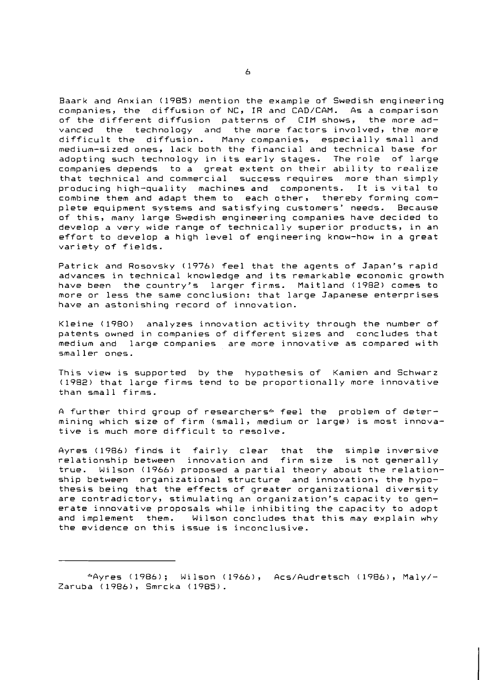Baark and Anxian (1985) mention the example of Swedish engineering companies, the diffusion of NC, IR and CAD/CAM. As a comparison of the different diffusion patterns of CIM shows, the more advanced the technology and the more factors involved, the more difficult the diffusion. Many companies, especially small and medium-sized ones, lack both the financial and technical base for adopting such technology in its early stages. The role of large companies depends to a great extent on their ability to realize that technical and commercial success requires more than simply producing high-quality machines and components. It is vital to combine them and adapt them to each other, thereby forming complete equipment systems and satisfying customers' needs. Because of this, many large Swedish engineering companies have decided to develop a very wide range of technically superior products, in an effort to develop a high level of engineering know-how in a great variety of fields.

Patrick and Rosovsky (1976) feel that the agents of Japan's rapid advances in technical knowledge and its remarkable economic growth have been the country's larger firms. Maitland (1982) comes to more or less the same conclusion: that large Japanese enterprises have an astonishing record of innovation.

Kleine (1980) analyzes innovation activity through the number of patents owned in companies of different sizes and concludes that medium and large companies are more innovative as compared with smaller ones.

This view is supported by the hypothesis of Kamien and Schwarz (1982) that large firms tend to be proportionally more innovative than small firms.

A further third group of researchers<sup>6</sup> feel the problem of determining which size of firm (small, medium or large) is most innovative is much more difficult to resolve.

Ayres (1986) finds it fairly clear that the simple inversive relationship between innovation and firm size is not generally true. Wilson (1966) proposed a partial theory about the relationship between organizational structure and innovation, the hypothesis being that the effects of greater organizational diversity are contradictory, stimulating an organization's capacity to generate innovative proposals while inhibiting the capacity to adopt and implement them. Wilson concludes that this may explain why the evidence on this issue is inconclusive.

<sup>&</sup>amp;Ayres (1986); Wilson (1966), Acs/Audretsch (1986), Maly/- Zaruba (1986), Smrcka (1985).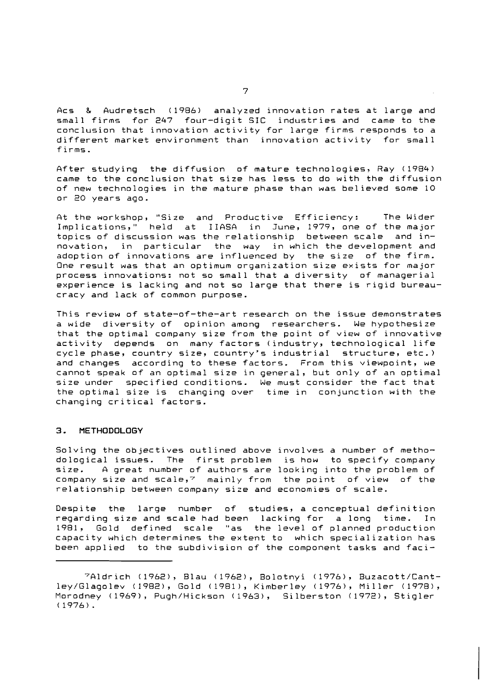Acs & Audretsch (1986) analyzed innovation rates at large and small firms for 247 four-digit SIC industries and came to the conclusion that innovation activity for large firms responds to a different market environment than innovation activity for small firms.

After studying the diffusion of mature technologies, Ray (1984) came to the conclusion that size has less to do with the diffusion of new technologies in the mature phase than was believed some 10 or 20 years ago.

At the workshop, "Size and Productive Efficiency: The Wider Implications," held at IIASA in June, 1979, one of the major topics of discussion was the relationship between scale and innovation, in particular the way in which the development and adoption of innovations are influenced by the size of the firm. Qne result was that an optimum organization size exists for major process innovations: not so small that a diversity of managerial experience is lacking and not so large that there is rigid bureaucracy and lack of common purpose.

This review of state-of-the-art research on the issue demonstrates a wide diversity of opinion among researchers. We hypothesize that the optimal company size from the point of view of innovative activity depends on many factors (industry, technological life cycle phase, country size, country's industrial structure, etc.) and changes according to these factors. From this viewpoint, we cannot speak of an optimal size in general, but only of an optimal size under specified conditions. We must consider the fact that the optimal size is changing over time in conjunction with the changing critical factors.

#### **3. METHODOLOGY**

Solving the objectives outlined above involves a number of methodological issues. The first problem is how to specify company size. A great number of authors are looking into the problem of company size and scale, $7$  mainly from the point of view of the relationship between company size and economies of scale.

Despite the large number of studies, a conceptual definition regarding size and scale had been lacking for a long time. In 1981, Gold defined scale "as the level of planned production capacity which determines the extent to which specialization has been applied to the subdivision of the component tasks and faci-

<sup>?</sup>Aldrich (1962), Blau (1962), Bolotnyi (1976), Buzacott/Cantley/Glagolev (1982), Gold (19811, Kimberley (1976), Miller (1978), Morodney (1969), Pugh/Hickson (1963), Silberston (1972), Stigler ( 1976).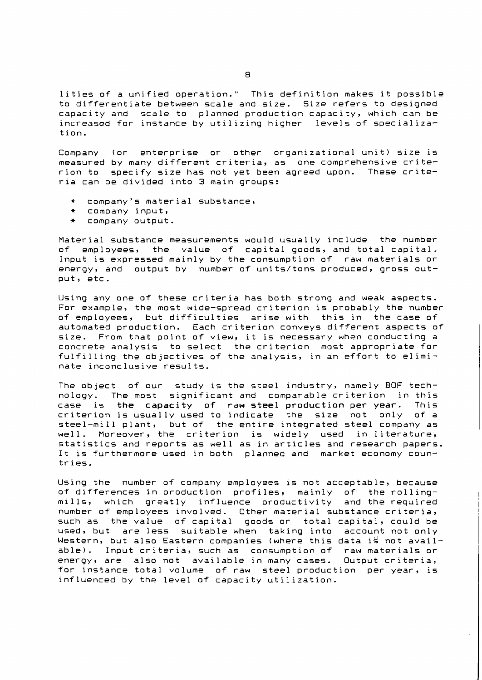lities of a unified operation." This definition makes it possible to differentiate between scale and size. Size refers to designed capacity and scale to planned production capacity, which can be increased for instance by utilizing higher levels of specialization.

Company (or enterprise or other organizational unit) size is measured by many different criteria, as one comprehensive criterion to specify size has not yet been agreed upon. These criteria can be divided into 3 main groups:

- + company's material substance,
- \* company input,
- + company output.

Material substance measurements would usually include the number of employees, the value of capital goods, and total capital. Input is expressed mainly by the consumption of raw materials or energy, and output by number of units/tons produced, gross output, etc.

Usinq any one of these criteria has both strong and weak aspects. For example, the most wide-spread criterion is probably the number of employees, but difficulties arise with automated production. Each criterion conveys different aspects of size. From that point of view, it is necessary when conducting a concrete analysis to select the criterion most appropriate for fulfilling the objectives of the analysis, in an effort to eliminate inconclusive results.

The object of our study is the steel industry, namely **BOF** technology. The most significant and comparable criterion in this case is the capacity of raw steel production per year. This criterion is usually used to indicate the size not only of a steel-mill plant, but of the entire integrated steel company as well. Moreover, the criterion is widely used in literature, statistics and reports as well as in articles and research papers. It is furthermore used in both planned and market economy countries.

Usinq the number of company employees is not acceptable, because of differences in production profiles, mainly of the rollingmills, which greatly influence productivity and the required number of employees involved. Other material substance criteria, such as the value of capital goods or total capital, could be used, but are less suitable when taking into account not only Western, but also Eastern companies (where this data is not available). Input criteria, such as consumption of raw materials or energy, are also not available in many cases. Output criteria, for instance total volume of raw steel production per year, is influenced by the level of capacity utilization.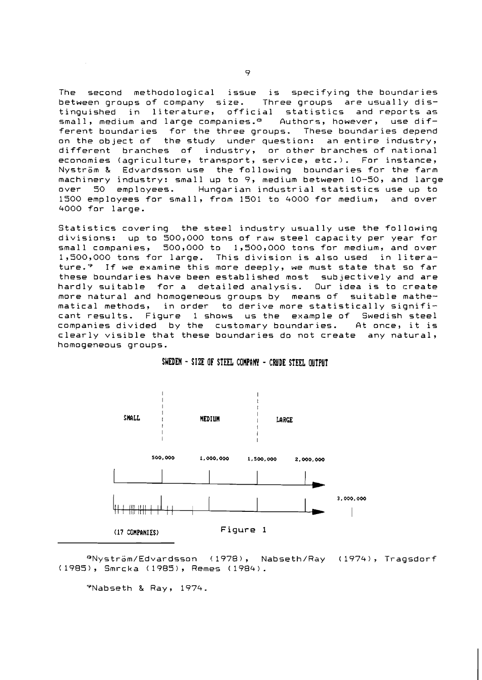The second methodological issue is specifying the boundaries between groups of company size. Three groups are usually distinguished in literature, official statistics and reports as small, medium and large companies.<sup>e</sup> Authors, however, use different boundaries for the three groups. These boundaries depend on the object of the study under question: an entire industry, different branches of industry, or other branches of national economies (agriculture, transport, service, etc.). For instance, Nyström & Edvardsson use the following boundaries for the farm machinery industry: small up to 9, medium between 10-50, and large over 50 employees. Hungarian industrial statistics use up to 1500 employees for small, from 1501 to 4000 for medium, and over 4000 for large.

Statistics covering the steel industry usually use the following divisions: up to 500,000 tons of raw steel capacity per year for small companies, 500,000 to 1,500,000 tons for medium, and over 1,500,000 tons for large. This division is also used in literature.<sup>9</sup> If we examine this more deeply, we must state that so far these boundaries have been established most subjectively and are<br>hardly suitable for a detailed analysis. Our idea is to create for a detailed analysis. Our idea is to create more natural and homogeneous groups by means of suitable mathematical methods, in order to derive more statistically significant results. Figure 1 shows us the example of Swedish steel companies divided by the customary boundaries. At once, it is clearly visible that these boundaries do not create any natural, homogeneous groups.



#### SWEDEN - SIZE OF STEEL COMPANY - CRUDE STEEL OUTPUT

 $9$ Nyström/Edvardsson (1978), Nabseth/Ray (1974), Tragsdorf (1985), Smrcka (1985), Remes (1984).

ryNabseth & Ray, 1974.

 $\Rightarrow$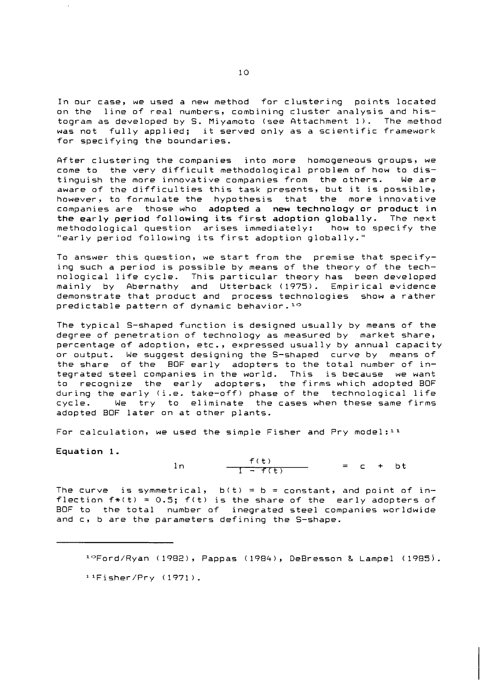In our case, we used a new method for clustering points located on the line of real numbers, combining cluster analysis and histogram as developed by S. Miyamoto (see Attachment 1). The method was not fully applied; it served only as a scientific framework for specifying the boundaries.

After clustering the companies into more homogeneous groups, we come to the very difficult methodological problem of how to distinguish the more innovative companies from the others. We are aware of the difficulties this task presents, but it is possible, however, to formulate the hypothesis that the more innovative companies are those who adopted a new technology or product in the early period following its first adoption globally. The next methodological question arises immediately: how to specify the "early period following its first adoption globally."

To answer this question, we start from the premise that specifying such a period is possible by means of the theory of the technological life cycle. This particular theory has been developed mainly by Rbernathy and Utterback (1975). Empirical evidence demonstrate that product and process technologies show a rather predictable pattern of dynamic behavior.<sup>10</sup>

The typical S-shaped function is designed usually by means of the degree of penetration of technology as measured by market share, percentage of adoption, etc., expressed usually by annual capacity or output. We suggest designing the S-shaped curve by means of the share of the BOF early adopters to the total number of integrated steel companies in the world. This is because we want to recognize the early adopters, the firms which adopted BOF during the early (i.e. take-off) phase of the technological life cycle. We try to eliminate the cases when these same firms adopted BOF later on at other plants.

For calculation, we used the simple Fisher and Pry model:  $11$ 

Equation 1.

 $f(t) = c + bt$  $ln$ 

The curve is symmetrical,  $b(t) = b = constant$ , and point of inflection  $f*(t) = 0.5$ ;  $f(t)$  is the share of the early adopters of BOF to the total number of inegrated steel companies worldwide and c, b are the parameters defining the S-shape.

1°Ford/Ryan (1982), Pappas (1984), DeBresson & Lampel (1985).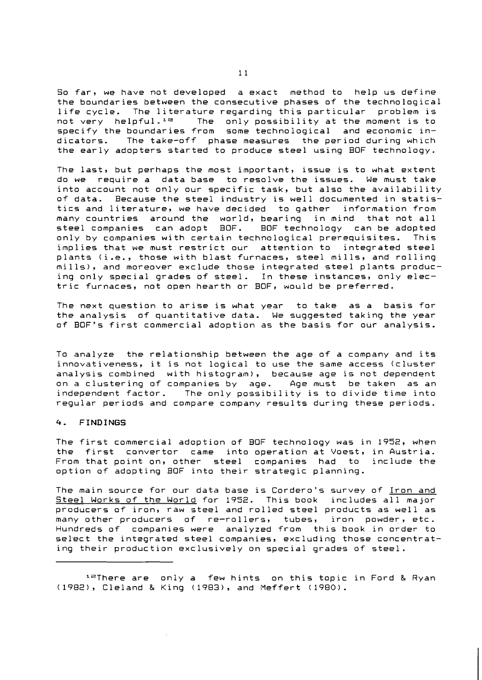So far, we have not developed a exact method to help us define the boundaries between the consecutive phases of the technological life cycle. The literature regarding this particular problem is not very helpful.<sup>12</sup> The only possibility at the moment is to The only possibility at the moment is to specify the boundaries from some technological and economic in-<br>dicators. The take-off phase measures the period during which The take-off phase measures the period during which the early adopters started to produce steel using BOF technology.

The last, but perhaps the most important, issue is to what extent do we require a data base to resolve the issues. We must take into account not only our specific task, but also the availability<br>of data. Because the steel industry is well documented in statis-Because the steel industry is well documented in statistics and literature, we have decided to gather information from many countries around the world, bearing in mind that not all<br>steel companies can adopt BOF. BOF technology can be adopted steel companies can adopt BOF. only by companies with certain technological prerequisites. This implies that we must restrict our attention to integrated steel plants (i.e., those with blast furnaces, steel mills, and rolling mills), and moreover exclude those integrated steel plants producing only special grades of steel. In these instances, only electric furnaces, not open hearth or BOF, would be preferred.

The next question to arise is what year to take as a basis for the analysis of quantitative data. We suggested taking the year of BOF's first commercial adoption as the basis for our analysis.

To analyze the relationship between the age of a company and its innovativeness, it is not logical to use the same access (cluster analysis combined with histogram), because age is not dependent on a clustering of companies by age. Age must be taken as an<br>independent factor. The only possibility is to divide time into The only possibility is to divide time into regular periods and compare company results during these periods.

#### **4. FINDINGS**

The first commercial adoption of BOF technology was in 1952, when the first convertor came into operation at Voest, in Austria. From that point on, other steel companies had to include the option of adopting BOF into their strategic planning.

The main source for our data base is Cordero's survey of Iron and Steel Works of the World for 1952. This book includes all major producers of iron, raw steel and rolled steel products as well as many other producers of re-rollers, tubes, iron powder, etc. Hundreds of companies were analyzed from this book in order to sel'ect the integrated steel companies, excluding those concentrating their production exclusively on special grades of steel.

 $1<sup>2</sup>$ There are only a few hints on this topic in Ford & Ryan (1982), Cleland & King (1983), and Meffert (1980).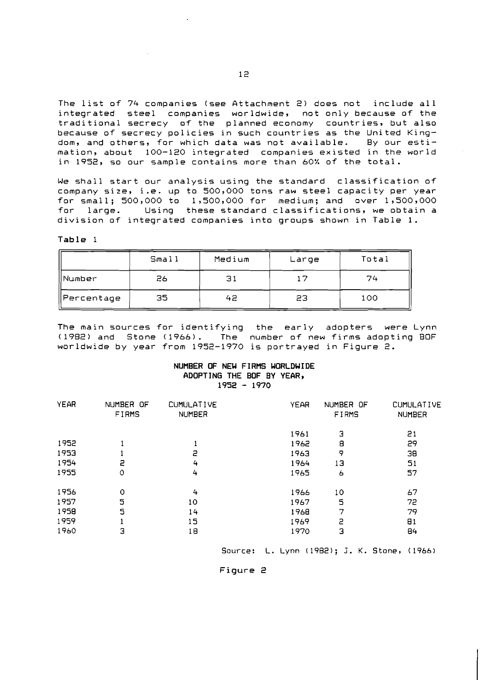The list of 74 companies (see Attachment 2) does not include all integrated steel companies worldwide, not only because of the traditional secrecy of the planned economy countries, but also because of secrecy policies in such countries as the United Kingdom, and others, for which data was not available. By our estimation, about 100-120 integrated companies existed in the world in 1952, so our sample contains more than 60% of the total.

**We** shall start our analysis using the standard classification of company size, i.e. up to 500,000 tons raw steel capacity per year for small; 500,000 to 1,500,000 for medium; and over 1,500,000<br>for large. Using these standard classifications, we obtain a Using these standard classifications, we obtain a division of integrated companies into groups shown in Table 1.

Table 1

|            | Small <sub>1</sub> | Medium | Large | Total |
|------------|--------------------|--------|-------|-------|
| Number     | 26                 | 31     |       | 74    |
| Percentage | 35                 | 42     | 23    | 100   |

The main sources for identifying the early adopters were Lynn (1982) and Stone (1966). The number of new firms adopting BOF worldwide by year from 1952-1970 is portrayed in Figure 2.

#### **NUMBER OF NEW FIRMS WORLDWIDE ADOPTING THE BOF BY YEAR,**  <sup>1952</sup>- 1970

| <b>YEAR</b> | NUMBER OF<br><b>FIRMS</b> | <b>CUMULATIVE</b><br><b>NUMBER</b> | <b>YEAR</b> | NUMBER OF<br>FIRMS | <b>CUMULATIVE</b><br><b>NUMBER</b> |
|-------------|---------------------------|------------------------------------|-------------|--------------------|------------------------------------|
|             |                           |                                    | 1961        | Э                  | 21                                 |
| 1952        | 1                         |                                    | 1962        | 8                  | 29                                 |
| 1953        |                           | 2                                  | 1963        | 9                  | 38                                 |
| 1954        | 5                         | 4                                  | 1964        | 13                 | 51                                 |
| 1955        | ٥                         | 4                                  | 1965        | 6                  | 57                                 |
| 1956        | $\circ$                   | 4                                  | 1966        | 10                 | 67                                 |
| 1957        | 5                         | 10                                 | 1967        | 5                  | 72                                 |
| 1958        | 5                         | 14                                 | 1968        | 7                  | 79                                 |
| 1959        |                           | 15                                 | 1969        | 2                  | 81                                 |
| 1960        | Э                         | 18                                 | 1970        | З                  | 84                                 |
|             |                           |                                    |             |                    |                                    |

Source: L. Lynn (1982); J. K. Stone, (1966)

Figure 2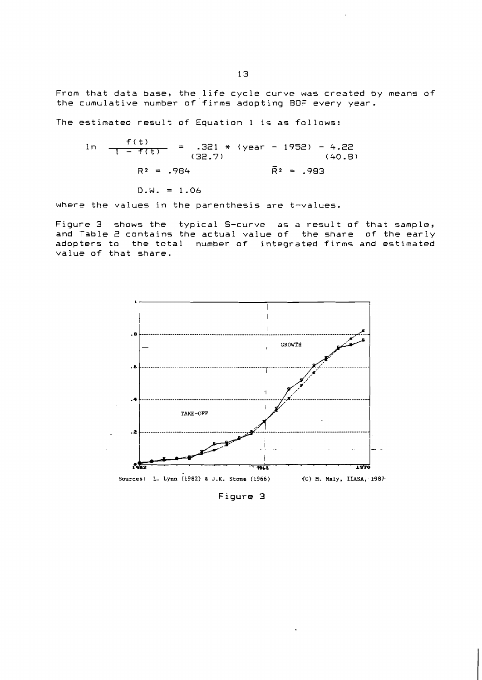From that data base, the life cycle curve was created by means of the cumulative number of firms adopting BOF every year.

The estimated result of Equation 1 is as follows:

$$
\ln \frac{f(t)}{1 - f(t)} = .321 * (year - 1952) - 4.22
$$
  
(32.7)  

$$
R^2 = .984 \qquad \qquad \overline{R}^2 = .983
$$
  
D.W. = 1.06

where the values in the parenthesis are t-values.

Figure 3 shows the typical S-curve as a result of that sample, and Table 2 contains the actual value of the share of the early adopters to the total number of integrated firms and estimated value of that share.



Figure 3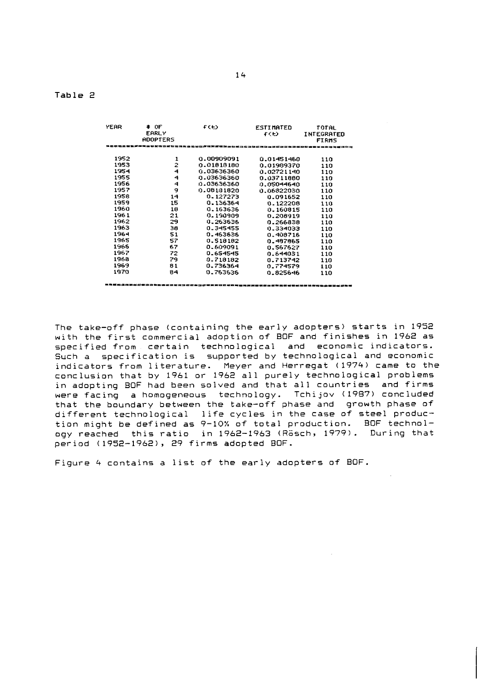#### **Table** 2

| <b>YEAR</b> | $\bullet$ OF<br><b>EARLY</b><br><b>ADOPTERS</b> | よくもう                                                                                       | <b>ESTIMATED</b><br>イくも) | <b>TOTAL</b><br>INTEGRATED<br><b>FIRMS</b> |  |
|-------------|-------------------------------------------------|--------------------------------------------------------------------------------------------|--------------------------|--------------------------------------------|--|
|             |                                                 | 2日出岸马不定学堂堂三日举马走流导的马至三式的三字条路前调查会画室三字条路台或汉皇三                                                 |                          |                                            |  |
| 1952        | 1                                               | 0.00909091                                                                                 | 0.01451460               | 110                                        |  |
| 1953        | 2                                               | 0.01813180                                                                                 | 0.01989370               | 110                                        |  |
| 1954        | 4                                               | 0.03636360                                                                                 | 0.02721140               | 110                                        |  |
| 1955        | 4                                               | 0.03636360                                                                                 | 0.03711880               | 110                                        |  |
| 1956        | 4                                               | 0.03636360                                                                                 | 0.05044640               | 110                                        |  |
| 1957        | 9                                               | 0.08181820                                                                                 | 0.06822030               | 110                                        |  |
| 1956        | 14                                              | 0.127273                                                                                   | 0.091652                 | 110                                        |  |
| 1959        | 15                                              | 0.136364                                                                                   | 0.122208                 | 110                                        |  |
| 1960        | 18                                              | 0.163636                                                                                   | 0.160815                 | 110                                        |  |
| 1961        | 21                                              | 0.190909                                                                                   | 0.208919                 | 110                                        |  |
| 1962        | 29                                              | 0.263636                                                                                   | 0.266838                 | 110                                        |  |
| 1963        | 38                                              | 0.345455                                                                                   | 0.334033                 | 110                                        |  |
| 1964        | 51                                              | 0.463636                                                                                   | 0.408716                 | 110                                        |  |
| 1965        | 57                                              | 0.518182                                                                                   | 0.487865                 | 110                                        |  |
| 1966        | 67                                              | 0.609091                                                                                   | 0.567627                 | 110                                        |  |
| 1967        | 72                                              | 0.654545                                                                                   | 0.644031                 | 110                                        |  |
| 1968        | 79                                              | 0.718182                                                                                   | 0.713742                 | 110                                        |  |
| 1969        | 81                                              | 0.736364                                                                                   | 0.774579                 | 110                                        |  |
| 1970        | 84                                              | 0.763636                                                                                   | 0.825646                 | 110                                        |  |
|             |                                                 | 1 대위생의 화선 선생 한 학교 중 보고 있어요 등 등 보고 선택 지지 않은 부회의 중국 지지를 지도 고등 특징 등 이 등의 부정 보고 있는 후 등 프로 부정하여 |                          |                                            |  |

The take-off phase (containing the early adopters) starts in 1952 with the first commercial adoption of BOF and finishes in 1962 as specified from certain technological and economic indicators. Such a specification is supported by technological and economic indicators from literature. Meyer and Herregat (1974) came to the conclusion that by 1961 or 1962 all purely technological problems in adopting BOF had been solved and that all countries and firms were facing a homogeneous technology. Tchijov (1987) concluded that the boundary between the take-off phase and growth phase of different technological life cycles in the case of steel production might be defined as 9-10% of total production. BOF technology reached this ratio in 1962-1963 (Rösch, 1979). During that period (1952-1962), 29 firms adopted BOF.

Figure 4 contains a list of the early adopters of BOF.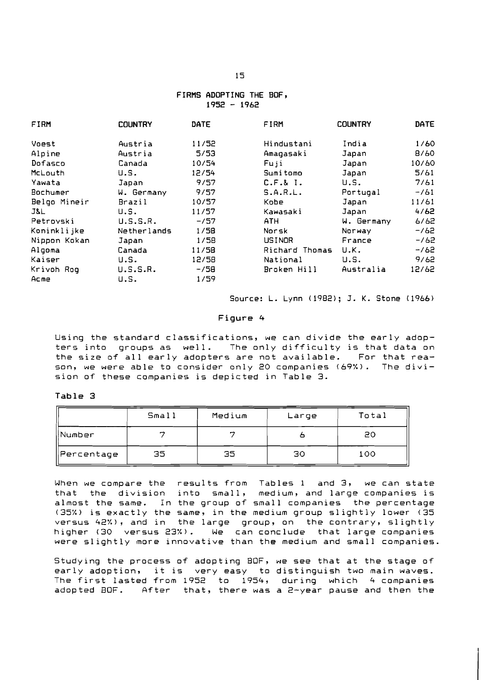#### FIRMS ADOPTING THE BOF, <sup>1952</sup>- <sup>1962</sup>

| FIRM         | <b>COUNTRY</b> | DATE   | FIRM           | <b>COUNTRY</b> | DATE   |
|--------------|----------------|--------|----------------|----------------|--------|
| Voest        | Austria        | 11/52  | Hindustani     | India          | 1/60   |
| Alpine       | Austria        | 5/53   | Amagasaki      | Japan          | 8/60   |
| Dofasco      | Canada         | 10/54  | Fuji           | Japan          | 10/60  |
| McLouth      | U.S.           | 12/54  | Sumitomo       | Japan          | 5/61   |
| Yawata       | Japan          | 9/57   | C.F.B. I.      | U.S.           | 7/61   |
| Bochumer     | W. Germany     | 9/57   | S.A.R.L.       | Portugal       | $-161$ |
| Belgo Mineir | Brazil         | 10/57  | Kobe           | Japan          | 11/61  |
| J&L.         | U.S.           | 11/57  | Kawasaki       | Japan          | 4/62   |
| Petrovski    | U.S.S.R.       | $-157$ | ATH.           | W. Germany     | 6/62   |
| Koninklijke  | Netherlands    | 1/58   | Norsk          | Norway         | $-162$ |
| Nippon Kokan | Japan          | 1/58   | USINOR         | France         | $-162$ |
| Algoma       | Canada         | 11/58  | Richard Thomas | U.K.           | $-762$ |
| Kaiser       | U.S.           | 12/58  | National       | U.S.           | 9/62   |
| Krivoh Rog   | U.S.S.R.       | $-758$ | Broken Hill    | Australia      | 12/62  |
| Acme         | U.S.           | 1/59   |                |                |        |

Source: L. Lynn (1982); J. K. Stone (1966)

#### **Figure 4**

Using the standard classifications, we can divide the early adopters into groups as well. The only difficulty is that data on the size of all early adopters are not available. For that reason, we were able to consider only 20 companies (69%). The division of these companies is depicted in Table 3.

#### Table 3

|            | Small | Medium | Large | Total |
|------------|-------|--------|-------|-------|
| Number     |       |        |       | 20    |
| Percentage | 35    | 35     | 30    | 100   |

When we compare the results from Tables 1 and 3, we can state that the division into small, medium, and large companies is almost the same. In the group of small companies the percentage (35%) is exactly the same, in the medium group slightly lower (35 versus 42%), and in the large group, on the contrary, slightly higher (30 versus 23%). We can conclude that large companies were slightly more innovative than the medium and small companies.

Studying the process of adopting BOF, we see that at the stage of early adoption, it is very easy to distinguish two main waves. The first lasted from 1952 to 1954, during which 4 companies adopted BOF. After that, there was a 2-year pause and then the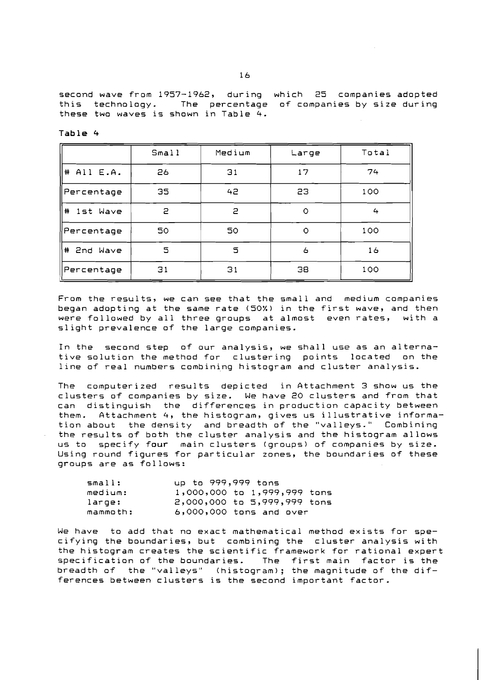second wave from 1957-1962, during which 25 companies adopted<br>this technology. The percentage of companies by size during The percentage of companies by size during these two waves is shown in Table 4.

| abı |  |
|-----|--|
|-----|--|

|                   | Small | Medium | Large   | Total |
|-------------------|-------|--------|---------|-------|
| $\#$ All E.A.     | 26    | 31     | 17      | 74    |
| ∥Percentage       | 35    | 42     | 23      | 100   |
| $\pm$<br>1st Wave | 5     | 2      | O       | 4     |
| Percentage        | 50    | 50     | $\circ$ | 100   |
| #∣<br>2nd Wave    | 5     | 5      | 6       | 16    |
| Percentage        | 31    | 31     | 38      | 100   |

From the results, we can see that the small and medium companies began adopting at the same rate (50%) in the first wave, and then<br>were followed by all three groups at almost even rates, with a were followed by all three groups at almost even rates, slight prevalence of the large companies.

In the second step of our analysis, we shall use as an alternative solution the method for clustering points located on the line of real numbers combining histogram and cluster analysis.

The computerized results depicted in Attachment 3 show us the clusters of companies by size. We have 20 clusters and from that can distinguish the differences in production capacity between them. Attachment 4, the histogram, gives us illustrative information about the density and breadth of the "valleys." Combining the results of both the cluster analysis and the histogram allows us to specify four main clusters (groups) of companies by size. Using round figures for particular zones, the boundaries of these groups are as follows:

| small:   | up to 999,999 tons            |
|----------|-------------------------------|
| medium:  | 1,000,000 to 1,999,999 tons   |
| large:   | $2,000,000$ to 5,999,999 tons |
| mammoth: | $6,000,000$ tons and over     |

We have to add that no exact mathematical method exists for specifying the boundaries, but combining the cluster analysis with the histogram creates the scientific framework for rational expert specification of the boundaries. The first main factor is the breadth of the "valleys" (histogram); the magnitude of the differences between clusters is the second important factor.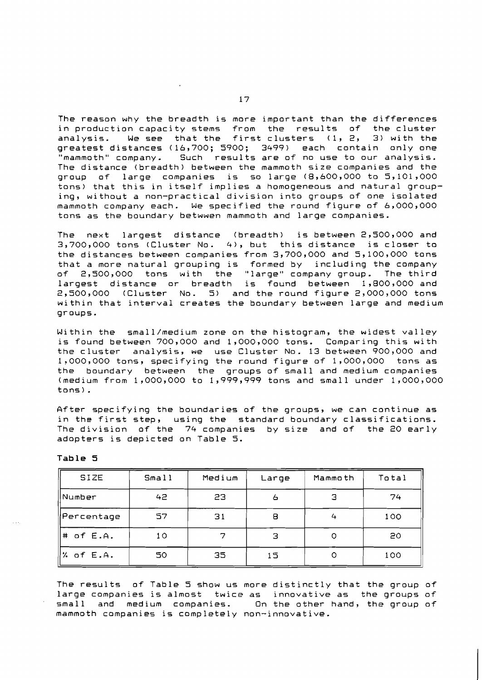The reason why the breadth is more important than the differences in production capacity stems from the results of the cluster analysis. We see that the first clusters  $(1, 2, 3)$ greatest distances (16,700; 5900; 3499) each contain only one<br>"mammoth" company. Such results are of no use to our analysis. Such results are of no use to our analysis. The distance (breadth) between the mammoth size companies and the group of large companies is so large (8,600,000 to 5,101,000 tons) that this in itself implies a homogeneous and natural grouping, without a non-practical division into groups of one isolated mammoth company each. We specified the round figure of 6,000,000 tons as the boundary betwwen mammoth and large companies.

The next largest distance (breadth) is between 2,500,000 and 3,700,000 tons (Cluster No. 4), but this distance is closer to the distances between companies from 3,700,000 and 5,100,000 tons<br>that a more natural grouping is formed by including the company that a more natural grouping is formed by<br>of 2,500,000 tons with the "large" com with the "large" company group. The third largest distance or breadth is found between 1,800,000 and<br>2,500,000 (Cluster No. 5) and the round figure 2,000,000 tons and the round figure 2,000,000 tons within that interval creates the boundary between large and medium groups.

Within the small/medium zone on the histogram, the widest valley is found between 700,000 and 1,000,000 tons. Comparing this with the cluster analysis, we use Cluster No. 13 between 900,000 and 12000,000 tons, specifying the round figure of 1,000,000 tons as the boundary between the groups of small and medium companies (medium from 1,000,000 to 1,999,999 tons and small under 1,000,000 tons).

After specifying the boundaries of the groups, we can continue as in the first step, using the standard boundary classifications. The division of the 74 companies by size and of the 20 early adopters is depicted on Table 5.

| <b>SIZE</b>           | Small           | Medium | Large | Mammoth | Total |
|-----------------------|-----------------|--------|-------|---------|-------|
| Number                | 42              | 23     | 6     | з       | 74    |
| Percentage            | 57              | 31     | 8     | 4       | 100   |
| $\#$ of E.A.          | 10 <sub>o</sub> | ¬      | З     | O       | 20    |
| $\frac{1}{2}$ of E.A. | 50              | 35     | 15    |         | 100   |

**Table 5** 

The results of Table 5 show us more distinctly that the group of large companies is almost twice as innovative as the groups of small and medium companies. On the other hand, the group of mammoth companies is completely non-innovative.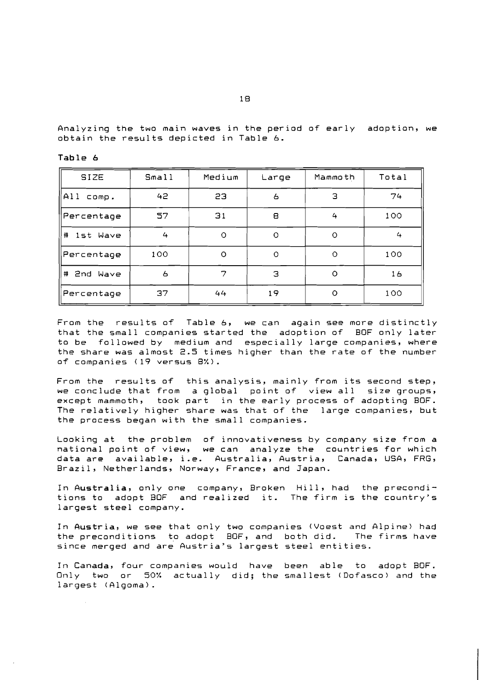Analyzing the two main waves in the period of early adoption, we obtain the results depicted in Table 6.

| <b>SIZE</b>  | Small | Medium  | Large   | Mammoth | Total |
|--------------|-------|---------|---------|---------|-------|
| A11<br>comp. | 42    | SЗ      | 6       | Э       | 74    |
| Percentage   | 57    | 31      | 8       | 4       | 100   |
| # 1st Wave   | 4     | $\circ$ | $\circ$ | $\circ$ | 4     |
| Percentage   | 100   | $\circ$ | $\circ$ | O       | 100   |
| # 2nd Wave   | 6     | 7       | з       | O       | 16    |
| Percentage   | 37    | 44      | 19      | $\circ$ | 100   |

Table 6

From the results of Table 6, we can again see more distinctly that the small companies started the adoption of BOF only later to be followed by medium and especially large companies, where the share was almost 2.5 times higher than the rate of the number of companies (19 versus 8%).

From the results of this analysis, mainly from its second step, we conclude that from a global point of view all size groups, except mammoth, took part in the early process of adopting BOF. The relatively higher share was that of the large companies, but the process began with the small companies.

Looking at the problem of innovativeness by company size from a national point of view, we can analyze the countries for which data are available, i.e. Australia, Austria, Canada, USA, FRG, Brazil, Netherlands, Norway, France, and Japan.

In Australia, only one company, Broken Hill, had the preconditions to adopt BOF and realized it. The firm is the country's largest steel company.

In Austria, we see that only two companies (Voest and Alpine) had<br>the preconditions to adopt BOF, and both did. The firms have the preconditions to adopt BOF, and both did. since merged and are Austria's largest steel entities.

In Canada, four companies would have been able to adopt BOF. Only two or 50% actually did; the smallest (Dofasco) and the largest (Algoma).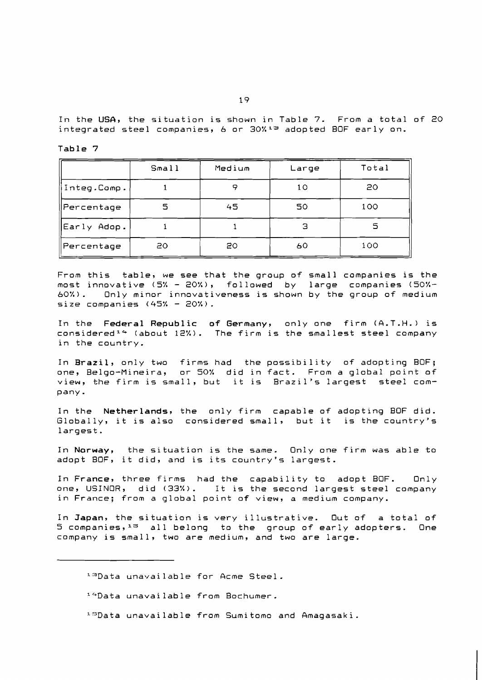In the **USA,** the situation is shown in Table 7. From a total of 20 integrated steel companies, 6 or  $30\%$ <sup>13</sup> adopted BOF early on.

Table 7

|             | Small | Medium | Large | Total |
|-------------|-------|--------|-------|-------|
| Integ.Comp. |       | o      | 10    | 20    |
| Percentage  |       | 45     | 50    | 100   |
| Early Adop. |       |        | з     | 5     |
| Percentage  | 20    | 20     | 60    | 100   |

From this table, we see that the group of small companies is the most innovative  $(5\% - 20\%)$ , followed by large companies  $(50\%$ most innovative (5% - 20%), followed by<br>60%). Only minor innovativeness is shown 60%). Only minor innovativeness is shown by the group of medium size companies  $(45% - 20%)$ .

In the Federal Republic of Germany, only one firm (A.T.H.) is considered<sup>14</sup> (about 12%). The firm is the smallest steel company in the country.

In Brazil, only two firms had the possibility of adopting BOF; one, Belgo-Mineira, or 50% did in fact. From a global point of view, the firm is small, but it is Brazil's largest steel company -

In the Netherlands, the only firm capable of adopting BOF did. Globally, it is also considered small, but it is the country's largest.

In Norway, the situation is the same. Only one firm was able to adopt BOF, it did, and is its country's largest.

In France, three firms had the capability to adopt BOF. Only one, USINOR, did (33%). It is the second largest steel company in France; from a global point of view, a medium company.

In Japan, the situation is very illustrative. Out of a total of  $5$  companies,<sup>15</sup> all belong to the group of early adopters. One company is small, two are medium, and two are large.

13Data unavailable for Acme Steel.

- 14Data unavailable from Bochumer.
- 1:3Data unavailable from Sumitomo and Amagasaki.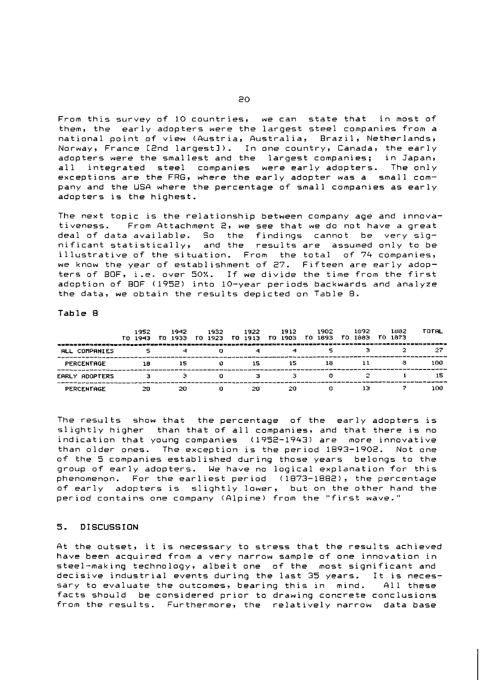From this survey of 10 countries, we can state that in most of them, the early adopters were the largest steel companies from a national point of view (Austria, Australia, Brazil, Netherlands, Norway, France [2nd largest]). In one country, Canada, the early adopters were the smallest and the largest companies; in Japan, all integrated steel companies were early adopters. The only<br>exceptions are the FRG, where the early adopter was a small company and the USA where the percentage of small companies as early adopters is the highest.

The next topic is the relationship between company age and innovativeness. From Attachment 2, we see that we do not have a great deal of data available. So the findings cannot be very sig-<br>nificant statistically, and the results are assumed only to be illustrative of the situation. From the total of 74 companies, we know the year of establishment of 27. Fifteen are early adopters of BOF, i.e. over 50%. If we divide the time from the first adoption of BOF (1952) into 10-year periods backwards and analyze the data, we obtain the results depicted on Table 8.

#### Table 8

| 3 X 주의성 그동은 자성은 온라는 그 그들은 중국 주로 사용으로 X 그 X 국가 블로그 다 먹고 그 다 그 사고 그 그 사고 그 사고 사고 다 보고 그 사고 그 사고 그 아이가 그 사고 그 그 그 사고 그 그 사고 그 그 사고 그 그 사고 그 그 사고 그 그 사고 그 그 사고 그 그 사 | 1952<br>TO 1943 | 1942<br>TO 1933 | 1932<br>TO 1923 | 1922<br>TO 1913 | 1912<br>TO 1903 | 1902<br>TO 1893 | 1892<br>ГО 1883 | 1832<br>TO 1873 | <b>TOTAL</b> |
|-------------------------------------------------------------------------------------------------------------------------------------------------------------------|-----------------|-----------------|-----------------|-----------------|-----------------|-----------------|-----------------|-----------------|--------------|
| <b>COMPANIES</b><br><b>RLL</b>                                                                                                                                    |                 |                 |                 |                 |                 |                 |                 |                 |              |
| <b>FERCENTAGE</b>                                                                                                                                                 | 18              | 15              | о               | 15              | 15              | 18              |                 |                 | 100          |
| EARLY ADOPTERS                                                                                                                                                    |                 |                 | n               |                 |                 |                 |                 |                 | 15           |
| PERCENTAGE                                                                                                                                                        | 20              | 20              | Ω               | 20              | 20              |                 | 13              |                 | 100          |

The results show that the percentage of the early adopters is slightly higher than that of all companies, and that there is no indication that young companies (1952-1943) are more innovative than older ones. The exception is the period 1893-1902. Not one of the 5 companies established during those years belongs to the group of early adopters. We have no logical explanation for this phenomenon. For the earliest period (1873-1882), the percentage of early adopters is slightly lower, but on the other hand the period contains one company (Alpine) from the "first wave."

#### $5.$ **DISCUSSION**

At the outset, it is necessary to stress that the results achieved have been acquired from a very narrow sample of one innovation in steel-making technology, albeit one of the most significant and decisive industrial events during the last 35 years. It is necessary to evaluate the outcomes, bearing this in mind. All these facts should be considered prior to drawing concrete conclusions from the results. Furthermore, the relatively narrow data base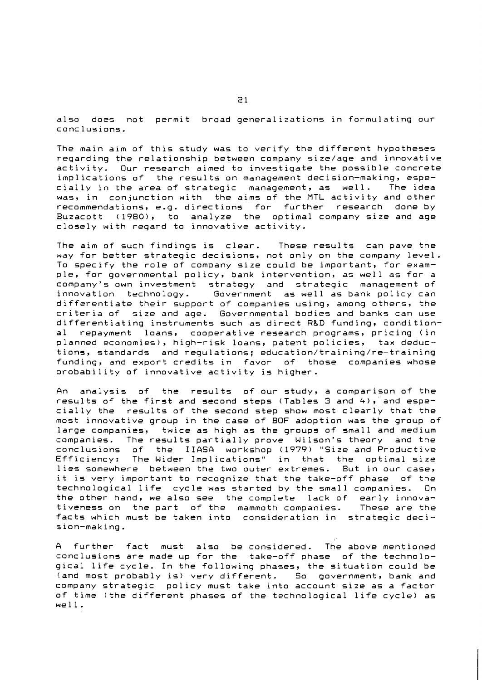also does not permit broad generalizations in formulating our conclusions.

The main aim of this study was to verify the different hypotheses regarding the relationship between company size/age and innovative activity. Our research aimed to investigate the possible concrete implications of the results on management decision-making, especially in the area of strategic management, as well. The idea was, in conjunction with the aims of the MTL activity and other recommendations, e.g. directions for further research done by Buzacott (1980), to analyze the optimal company size and age closely with regard to innovative activity.

The aim of such findings is clear. These results can pave the way for better strategic decisions, not only on the company level. To specify the role of company size could be important, for example, for governmental policy, bank intervention, as well as for a company's own investment strategy and strategic management of innovation technology. Government as well as bank policy can differentiate their support of companies using, among others, the criteria of size and age. Governmental bodies and banks can use differentiating instruments such as direct R&D funding, conditional repayment loans, cooperative research programs, pricing (in planned economies), high-risk loans, patent policies, tax deductions, standards and regulations; **education/training/re-training**  funding, and export credits in favor of those companies whose probability of innovative activity is higher.

An analysis of the results of our study, a comparison of the results of the first and second steps (Tables 3 and 4), and especially the results of the second step show most clearly that the most innovative group in the case of BOF adoption was the group of large companies, twice as high as the groups of small and medium companies. The results partially prove Wilson's theory and the conclusions of the IIASA workshop (1979) "Size and Productive The Wider Implications" in that the optimal size lies somewhere between the two outer extremes. But in our case, it is very important to recognize that the take-off phase of the technological life cycle was started by the small companies. the other hand, we also see the complete lack of early innovativeness on the part of the mammoth companies. These are the facts which must be taken into consideration in strategic decision-making.

A further fact must also be considered. The above mentioned conclusions are made up for the take-off phase of the technological life cycle. In the following phases, the situation could be (and most probably is) very different. So government, bank and company strategic policy must take into account size as a factor of time (the different phases of the technological life cycle) as well.

1 I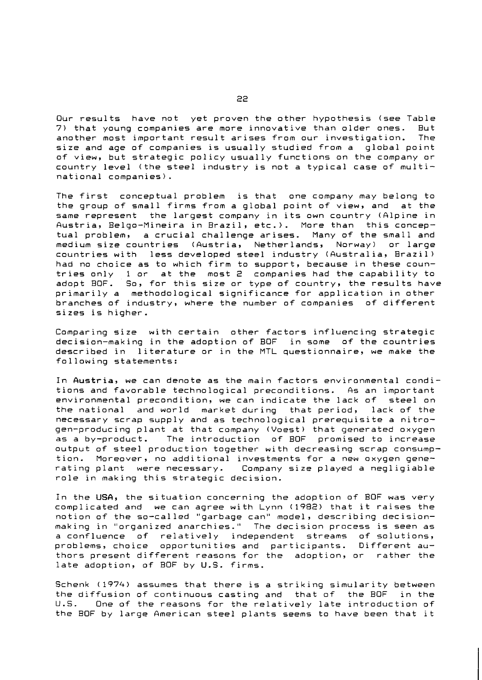Our results have not yet proven the other hypothesis (see Table 7) that young companies are more innovative than older ones. But another most important result arises from our investigation. size and age of companies is usually studied from a global point of view, but strategic policy usually functions on the company or country level (the steel industry is not a typical case of multinational companies).

The first conceptual problem is that one company may belong to the group of small firms from a global point of view, and at the same represent the largest company in its own country (Alpine in Austria, Belgo-Mineira in Brazil, etc.). More than this conceptual problem, a crucial challenge arises. Many of the small and medium size countries (Austria, Netherlands, Norway) or large countries with less developed steel industry (Australia, Brazil) had no choice as to which firm to support, because in these countries only 1 or at the most 2 companies had the capability to<br>adopt BOF. So, for this size or type of country, the results have  $^{\circ}$  So, for this size or type of country, the results have primarily a methodological significance for application in other branches of industry, where the number of companies of different sizes is higher.

Comparing size with certain other factors influencing strategic decision-making in the adoption of BOF in some of the countries described in literature or in the MTL questionnaire, we make the following statements:

In Austria, we can denote as the main factors environmental conditions and favorable technological preconditions. As an important environmental precondition, we can indicate the lack of steel on the national and world market during that period, lack of the necessary scrap supply and as technological prerequisite a nitrogen-producing plant at that company (Voest) that generated oxygen as a by-product. The introduction of BOF promised to increase output of steel production together with decreasing scrap consumption. Moreover, no additional investments for a new oxygen generating plant were necessary. Company size played a negligiable role in making this strategic decision.

In the USA, the situation concerning the adoption of BOF was very complicated and we can agree with Lynn (1982) that it raises the notion of the so-called "garbage can" model, describing decisionmaking in "organized anarchies." The decision process is seen as relatively independent problems, choice opportunities and participants. Different authors present different reasons for the adoption, or rather the late adoption, of BOF by U.S. firms.

Schenk (1974) assumes that there is a striking simularity between the diffusion of continuous casting and that of the BOF in the U.S. One of the reasons for the relatively late introduction of the BOF by large American steel plants seems to have been that it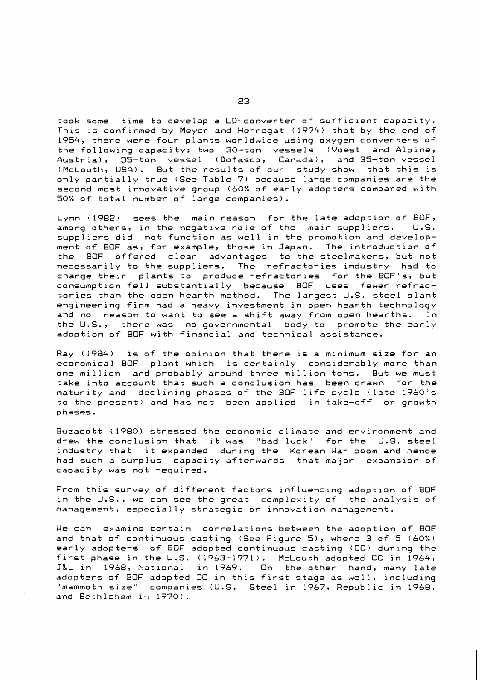took some time to develop a LD-converter of sufficient capacity. This is confirmed by Meyer and Herregat (1974) that by the end of 1954, there were four plants worldwide using oxygen converters of the following capacity: two 30-ton vessels (Voest and Alpine, Austria), 35-ton vessel (Dofasco, Canada), and 35-ton vessel (McLouth, USA). But the results of our study show that this is only partially true (See Table 7) because large companies are the second most innovative group (60% of early adopters compared with 50% of total number of large companies).

Lynn (1982) sees the main reason for the late adoption of BOF,<br>among others, in the negative role of the main suppliers. U.S. among others, in the negative role of the main suppliers. suppliers did not function as well in the promotion and development of BOF as, for example, those in Japan. The introduction of the BOF offered clear advantages to the steelmakers, but not necessarily to the suppliers. The refractories industry had to change their plants to produce refractories for the BOF's, but consumption fell substantially because BOF uses fewer refractories than the open hearth method. The largest U.S. steel plant engineering firm had a heavy investment in open hearth technology and no reason to want to see a shift away from open hearths. In the U.S., there was no governmental body to promote the early adoption of BOF with financial and technical assistance.

Ray (1984) is of the opinion that there is a minimum size for an economical BOF plant which is certainly considerably more than one million and probably around three million tons. But we must take into account that such a conclusion has been drawn for the maturity and declining phases of the BOF life cycle (late 1960's to the present) and has not been applied in take-off or growth phases.

Buzacott (1980) stressed the economic climate and environment and drew the conclusion that it was "bad luck" for the U.S. steel industry that it expanded during the Korean War boom and hence had such a surplus capacity afterwards that major expansion of capacity was not required.

From this survey of different factors influencing adoption of BOF in the U.S., we can see the great complexity of the analysis of management, especially strategic or innovation management.

We can examine certain correlations between the adoption of BOF and that of continuous casting (See Figure 5), where 3 of 5 (60%) early adopters of BOF adopted continuous casting (CC) during the first phase in the U.S. (1963-1971). McLouth adopted CC in 1964,<br>J&L in 1968, National in 1969. On the other hand, many late J&L in 1968, National in 1969. adopters of BOF adopted CC in this first stage as well, including "mammoth size" companies (U.S. Steel in 1967, Republic in 1968, and Bethlehem in 1970).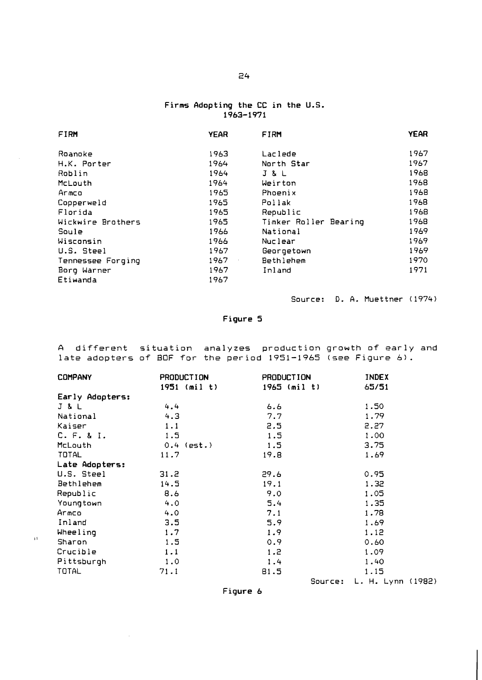#### **Firms Adopting the CC in the U.S. 1963-1971**

| FIRM              | <b>YEAR</b> | <b>FIRM</b>           | <b>YEAR</b> |
|-------------------|-------------|-----------------------|-------------|
|                   |             |                       |             |
| Roanoke           | 1963        | Laclede               | 1967        |
| H.K. Porter       | 1964        | North Star            | 1967        |
| Roblin            | 1964        | <b>J &amp; L</b>      | 1968        |
| McLouth           | 1964        | Weirton               | 1968        |
| Armco             | 1965        | Phoenix               | 1968        |
| Copperweld        | 1965        | Pollak                | 1968        |
| Florida           | 1965        | Republic              | 1968        |
| Wickwire Brothers | 1965        | Timker Roller Bearing | 1968        |
| Soule             | 1966        | National              | 1969        |
| Wisconsin         | 1966        | Nuclear               | 1969        |
| U.S. Steel        | 1967        | Georgetown            | 1969        |
| Tennessee Forging | 1967        | Bethlehem             | 1970        |
| Borg Warner       | 1967        | Inland                | 1971        |
| Etiwanda          | 1967        |                       |             |

Source: D. A. Muettner (1974)

### **Figure 5**

**A** different situation analyzes production growth of early and late adopters of BOF for the period 1951-1965 (see Figure **6).** 

| <b>COMPANY</b>  | <b>PRODUCTION</b> | <b>PRODUCTION</b> | <b>INDEX</b>      |
|-----------------|-------------------|-------------------|-------------------|
|                 | $1951$ (mil t)    | $1965$ (mil t)    | 65/51             |
| Early Adopters: |                   |                   |                   |
| J & L           | 4.4               | 6.6               | 1.50              |
| National        | 4.3               | 7.7               | 1.79              |
| Kaiser          | 1.1               | 2.5               | 2.27              |
| C. F. 8 I.      | 1.5               | 1.5               | 1.00              |
| <b>McLouth</b>  | $0.4$ (est.)      | 1.5               | 3.75              |
| TOTAL           | 11.7              | 19.8              | 1.69              |
| Late Adopters:  |                   |                   |                   |
| U.S. Steel      | 31.2              | 29.6              | 0.95              |
| Bethlehem       | 14.5              | 19.1              | 1.32              |
| Republic        | 8.6               | 9.0               | 1.05              |
| Youngtown       | 4.0               | 5.4               | 1.35              |
| Armco           | 4.0               | 7.1               | 1.78              |
| Inland          | 3.5               | 5.9               | 1.69              |
| Wheeling        | 1.7               | 1.9               | 1.12              |
| Sharon          | 1.5               | 0.9               | 0.60              |
| Crucible        | 1.1               | 1.2               | 1.09              |
| Pittsburgh      | 1.0               | 1.4               | 1.40              |
| TOTAL           | 71.1              | 81.5              | 1.15              |
|                 |                   | Source:           | L. H. Lynn (1982) |

 $\mathcal{A}^{\mathcal{A}}$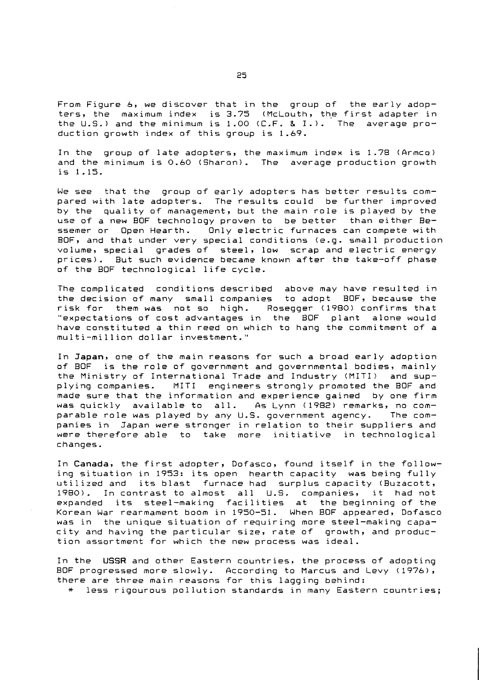From Figure 6, we discover that in the group of the early adopters, the maximum index is 3.75 (McLouth, the first adapter in the U.S.) and the minimum is 1.00 (C.F. & I.). The average production growth index of this group is 1.69.

In the group of late adopters, the maximum index is 1.78 (Armco) and the minimum is 0.60 (Sharon). The average production growth is 1.15.

We see that the group of early adopters has better results compared with late adopters. The results could be further improved by the quality of management, but the main role is played by the use of a new BOF technology proven to be better than either Be-<br>ssemer or Open Hearth. Only electric furnaces can compete with Only electric furnaces can compete with BOF, and that under very special conditions (e.9. small production volume, special grades of steel, low scrap and electric energy prices). But such evidence became known after the take-off phase of the BOF technological life cycle.

The complicated conditions described above may have resulted in the decision of many small companies to adopt BOF, because the risk for them was not so high. Rosegger (1980) confirms that "expectations of cost advantages in the BOF plant alone would have constituted a thin reed on which to hang the commitment of a multi-million dollar investment."

In Japan, one of the main reasons for such a broad early adoption of BOF is the role of government and governmental bodies, mainly the Ministry of International Trade and Industry (MITI) and supplying companies. MITI engineers strongly promoted the BOF and made sure that the information and experience gained by one firm was quickly available to all. As Lynn (1982) remarks, no com-<br>parable role was played by any U.S. government agency. The comparable role was played by any U.S. government agency. panies in Japan were stronger in relation to their suppliers and were therefore able to take more initiative in technological changes.

In Canada, the first adopter, Dofasco, found itself in the following situation in 1953: its open hearth capacity was being fully utilized and its blast furnace had surplus capacity (Buzacott, 1980). In contrast to almost all U.S. companies, it had not expanded its steel-making facilities at the beginning of the Korean War rearmament boom in 1950-51. When BOF appeared, Dofasco was in the unique situation of requiring more steel-making capacity and having the particular size, rate of growth, and production assortment for which the new process was ideal.

In the **USSR** and other Eastern countries, the process of adopting BOF progressed more slowly. According to Marcus and Levy (1976), there are three main reasons for this lagging behind:

\* less rigourous pollution standards in many Eastern countries;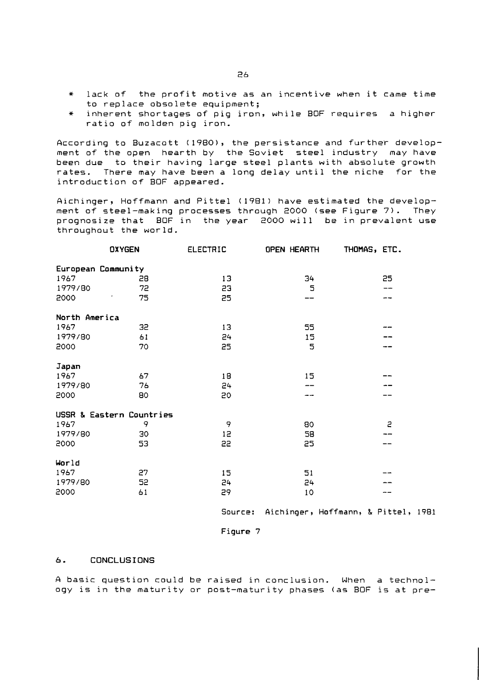- \* lack of the profit motive as an incentive when it came time to replace obsolete equipment;
- \* inherent shortages of pig iron, while BOF requires a higher ratio of molden pig iron.

According to Buzacott (1980), the persistance and further development of the open hearth by the Soviet steel industry may have been due to their having large steel plants with absolute growth rates. There may have been a long delay until the niche for the introduction of BOF appeared.

Aichinger, Hoffmann and Pittel (1981) have estimated the development of steel-making processes through 2000 (see Figure 7). They prognosize that BOF in the year 2000 will be in prevalent use throughout the world.

|                            | <b>OXYGEN</b> | <b>ELECTRIC</b> | <b>OPEN HEARTH</b> | THOMAS, ETC. |
|----------------------------|---------------|-----------------|--------------------|--------------|
| European Community<br>1967 | 28            | 13              | 34                 | 25           |
| 1979/80                    | 72            | 53              | 5                  | --           |
| 2000                       | 75            | 25              |                    |              |
| North America              |               |                 |                    |              |
| 1967                       | 32            | 13              | 55                 |              |
| 1979/80                    | 61            | 24              | 15                 |              |
| 2000                       | 70            | 25              | 5                  |              |
| Japan                      |               |                 |                    |              |
| 1967                       | 67            | 18              | 15                 |              |
| 1979/80                    | 76            | 24              |                    |              |
| 2000                       | 80            | 50              |                    |              |
| USSR & Eastern Countries   |               |                 |                    |              |
| 1967                       | 9             | 9               | 80                 | $\mathbf{z}$ |
| 1979/80                    | 30            | 12              | 58                 |              |
| 2000                       | 53            | 55              | 25                 |              |
| World                      |               |                 |                    |              |
| 1967                       | 27            | 15              | 51                 |              |
| 1979/80                    | 52            | 24              | 24                 |              |
| 2000                       | 61            | 56              | 10                 |              |

Source: Aichinger, Hoffmann, & Pittel, 1981

Figure 7

#### *6.* **CONCLUSIONS**

A basic question could be raised in conclusion. When a technology is in the maturity or post-maturity phases (as BOF is at pre-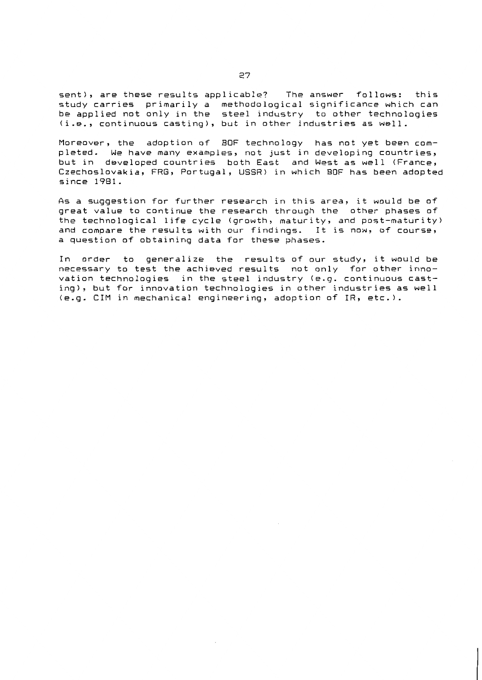sent), are these results applicable? The answer follows: this study carries primarily a methodological significance which can<br>be applied not only in the steel industry to other technologies (i.e., continuous casting), but in other industries as well.

Moreover, the adoption of BOF technology has not yet been completed. We have many examples, not just in developing countries, but in developed countries both East and West as well (France, Czechoslovakia, FRG, Portugal, USSR) in which BOF has been adopted  $since 1981.$ 

As a suggestion for further research in this area, it would be of great value to continue the research through the other phases of the technological life cycle (growth, maturity, and post-maturity) and compare the results with our findings. It is now, of course, a question of obtaining data for these phases.

In order to generalize the results of our study, it would be necessary to test the achieved results not only for other innovation technologies in the steel industry (e.g. continuous casting), but for innovation technologies in other industries as well (e.g. CIM in mechanical engineering, adoption of IR, etc.).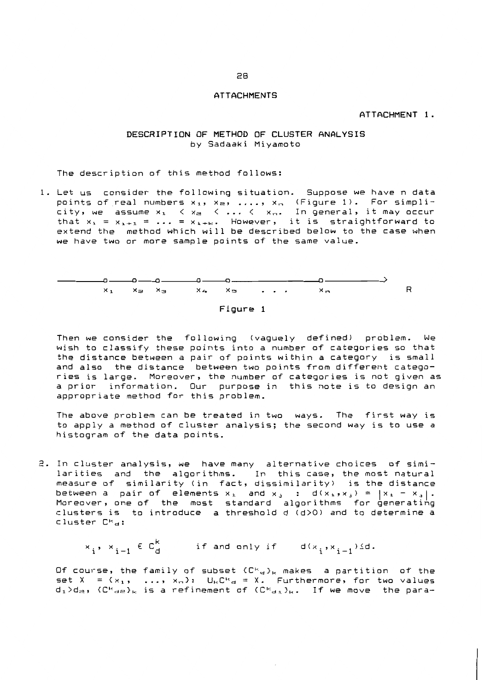#### **ATTACHMENTS**

#### ATTACHMENT 1.

#### DESCRIPTION OF METHOD OF CLUSTER ANALYSIS by Sadaaki Miyamoto

The description of this method follows:

1. Let us consider the following situation. Suppose we have n data points of real numbers  $x_1$ ,  $x_2$ , ...,  $x_n$  (Figure 1). For simpli-<br>city, we assume  $x_1 \le x_2 \le ... \le x_n$ . In general, it may occur<br>that  $x_1 = x_{1+1} = ... = x_{1+w}$ . However, it is straightforward to<br>extend the method which will we have two or more sample points of the same value.





Then we consider the following (vaquely defined) problem. We wish to classify these points into a number of categories so that the distance between a pair of points within a category is small and also the distance between two points from different categories is large. Moreover, the number of categories is not given as a prior information. Our purpose in this note is to design an appropriate method for this problem.

The above problem can be treated in two ways. The first way is to apply a method of cluster analysis; the second way is to use a histogram of the data points.

2. In cluster analysis, we have many alternative choices of similarities and the algorithms. In this case, the most natural measure of similarity (in fact, dissimilarity) is the distance between a pair of elements  $x_i$  and  $x_j$  :  $d(x_i, x_j) = |x_i - x_j|$ . Moreover, one of the most standard algorithms for generating<br>clusters is to introduce a threshold d (d)0) and to determine a cluster  $C^{\kappa}$ a:

 $x_i, x_{i-1} \in C_d^k$  if and only if  $d(x_i, x_{i-1}) \le d$ .

Of course, the family of subset  $(C^k a)_k$  makes a partition of the set  $X = \{x_1, \ldots, x_n\}$ :  $U_k C^k a = X$ . Furthermore, for two values  $d_1 > d_{\mathfrak{m}}$ ,  $\{C^k{}_{\mathfrak{a}\mathfrak{m}}\}_k$  is a refinement of  $\{C^k{}_{\mathfrak{a}\mathfrak{a}}\}_k$ . If we move the para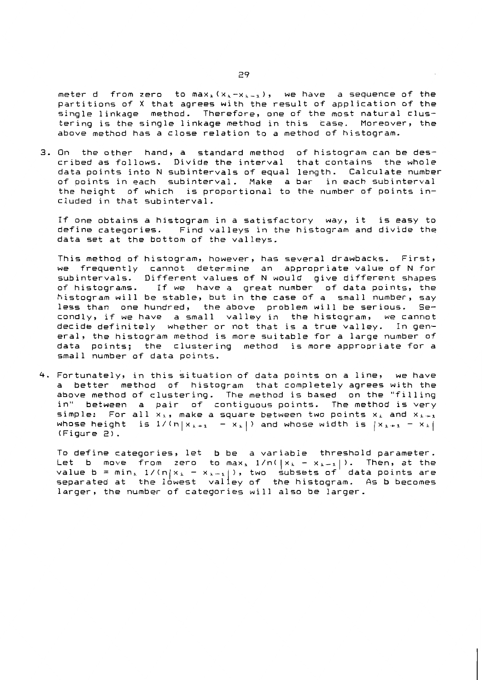meter d from zero to max<sub>i</sub>  $(x_1-x_1)$ , we have a sequence of the partitions of X that agrees with the result of application of the single linkage method. Therefore, one of the most natural clustering is the single linkage method in this case. Moreover, the above method has a close relation to a method of histogram.

3. On the other hand, a standard method of histogram can be described as follows. Divide the interval that contains the whole data points into N subintervals of equal length. Calculate number of points in each subinterval. Make a bar in each subinterval the height of which is proportional to the number of points included in that subinterval.

If one obtains a histogram in a satisfactory way, it is easy to define categories. Find valleys in the histogram and divide the data set at the bottom of the valleys.

This method of histogram, however, has several drawbacks. First, we frequently cannot determine an appropriate value of N for<br>subintervals. Different values of N would give different shapes of histograms. If we have a great number of data points, the histogram will be stable, but in the case of a small number, say less than one hundred, the above problem will be serious. Secondly, if we have a small valley in the histogram, we cannot decide definitely whether or not that is a true valley. In general, the histogram method is more suitable for a large number of data points; the clustering method is more appropriate for a small number of data points.

4. Fortunately, in this situation of data points on a line, we have a better method of histogram that completely agrees with the above method of clustering. The method is based on the "filling in" between a pair of contiguous points. The method is very simple: For all  $x_1$ , make a square between two points  $x_1$  and  $x_1$ . whose height is  $1/(n|x_{k+1} - x_k|)$  and whose width is  $|x_{k+1} - x_k|$  $(Fioure 2)$ .

To define categories, let b be a variable threshold parameter. Let b move from zero to max,  $1/n(|x_1 - x_{i-1}|)$ . Then, at the data points are value  $b = min_{i} 1/(n|x_i - x_{i-1}|)$ , two subsets of separated at the lowest valley of the histogram. As b becomes larger, the number of categories will also be larger.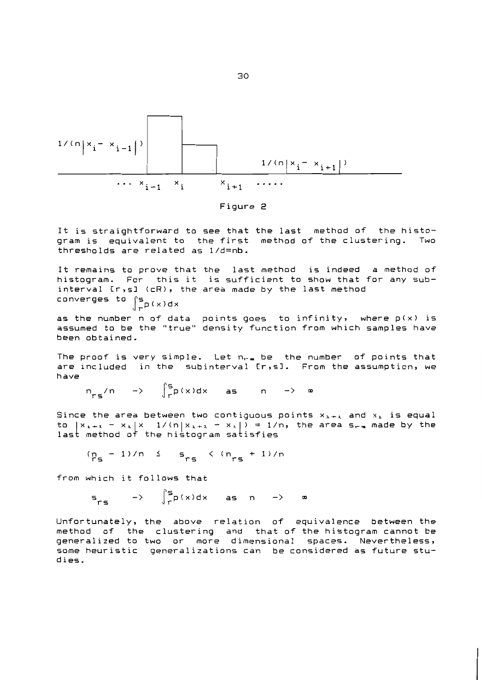

It is straightforward to see that the last method of the histogram is equivalent to the first method of the clustering. Two thresholds are related as 1/d=nb.

It remains to prove that the last method is indeed a method of histogram. For this it is sufficient to show that for any subinterval [r,s] (cR), the area made by the last method converges to  $\int_{r}^{s} p(x) dx$ 

as the number n of data points goes to infinity, where p(x) is assumed to be the "true" density function from which samples have been obtained.

The proof is very simple. Let n<sub>ra</sub> be the number of points that are included in the subinterval [r,s]. From the assumption, we have

 $n_{ref}/n \longrightarrow \int_{r}^{s} p(x)dx$  as  $n \longrightarrow \infty$ 

Since the area between two contiguous points  $x_{k+1}$  and  $x_k$  is equal to  $|x_{i+1} - x_i| \times 1/(n|x_{i+1} - x_i|) = 1/n$ , the area s<sub>ra</sub> made by the last method of the histogram satisfies

$$
(p_s - 1)/n \leq s_{rs} \leq (n_{rs} + 1)/n
$$

from which it follows that

 $S_{res}$  ->  $\int_{r}^{S} p(x) dx$  as n ->  $\infty$ 

Unfortunately, the above relation of equivalence between the method of the clustering and that of the histogram cannot be generalized to two or more dimensional spaces. Nevertheless, some heuristic generalizations can be considered as future studies.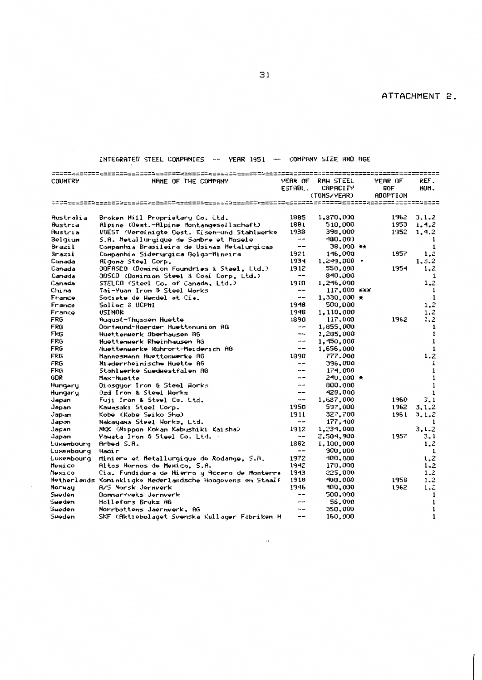# INTEGRATED STEEL COMPANIES -- YEAR 1951 -- COMPANY SIZE AND AGE

 $\sim 10^7$ 

| <b>COUNTRY</b> | NAME OF THE COMPANY                                       | YEAR OF                  | RAH STEEL           | <b>YEAR OF</b>  | REF.         |
|----------------|-----------------------------------------------------------|--------------------------|---------------------|-----------------|--------------|
|                |                                                           | ESTABL.                  | CAPACITY            | BOF             | NUM.         |
|                |                                                           |                          | (TONS/YEAR)         | <b>ADOPTION</b> |              |
|                |                                                           |                          | =========           | ---------       |              |
|                |                                                           |                          |                     |                 |              |
| Australia      | Broken Hill Proprietary Co. Ltd.                          | 1885                     | 1,870,000           | 1962            | 3,1,2        |
| Austria        | Ripine (Oest.-Alpine Montangesellschaft)                  | 1881                     | 510,000             | 1953            | 1, 4, 2      |
| Austria        | <b>VOEST (Vereinigte Dest. Eisen-und Stahlwerke</b>       | 1938                     | 390,000             | 1952            | 1, 4, 2      |
| Belgium        | S.A. Metallurqique de Sambre et Mosele                    | --                       | 430,000             |                 | 1            |
| Brazil         | Companhia Brasileira de Usinas Metalurgicas               | --                       | 38,000 **           |                 | $\mathbf{1}$ |
| Brazil         | Companhia Siderurgica Belgo-Hineira                       | 1921                     | 146,000             | 1957            | 1.2          |
| Canada         | Algoma Steel Corp.                                        | 1934                     | $1,249,000$ $\cdot$ |                 | 1, 3, 2      |
| Canada         | DDFASCO (Dominion Foundries & Steel, Ltd.)                | 1912                     | 550,000             | 1954            | 1.2          |
| Canada         | OOSCO (Dominion Steel & Coal Corp. Ltd.)                  | $\qquad \qquad -$        | 340,000             |                 | 1            |
| Canada         | STELCO (Steel Co. of Canada, Ltd.)                        | 1910                     | 1,246,000           |                 | 1.2          |
| China          | Tai-Yuan Iron & Steel Horks                               | $-1$                     | 117,000 ***         |                 | 1            |
| France         | Societe de Hendel et Cie.                                 | $- -$                    | $1,330,000 \times$  |                 | 1            |
| France         | Sollac & UCPMI                                            | 1948                     | 500,000             |                 | 1,2          |
| France         | <b>USINOR</b>                                             | 1948                     | 1,110,000           |                 | 1,2          |
| FRG            | <b>August-Thussen Huette</b>                              | 1890                     | 117,000             | 1962            | 1,2          |
| FRG            | Dortmund-Hoerder Huettenunion AG                          | $\overline{\phantom{m}}$ | 1,855,000           |                 | 1            |
| FRG            | Huettenwerk Oberhausen AG                                 | --                       | 1,285,000           |                 | 1            |
| FRG            | Huettenwerk Rheinhausen AG                                | --                       | 1,450,000           |                 | $\mathbf{1}$ |
| FRG            | Huettenwerke Ruhrort-Meiderich AG                         | $-$                      | 1,656,000           |                 | $\mathbf{1}$ |
| FRG            | Mannesmann Huettenwerke AG                                | 1390                     | 777,000             |                 | 1,2          |
| FRG            | Niederrheinische Huette AG                                | --                       | 396,000             |                 | 1            |
| FRG            | Stahlwerke Suedwestfalen AG                               | ---                      | 174,000             |                 | 1            |
| GDR.           | Max-Huette                                                | --                       | 240,000 *           |                 | $\mathbf{1}$ |
| Hungary        | Diosquor Iron & Steel Horks                               | ---                      | 300,000             |                 | $\mathbf{1}$ |
| Hungary        | Ozd Iron & Steel Works                                    | --                       | 420.000             |                 | $\mathbf{1}$ |
| Japan          | Fuji Iron & Steel Co. Ltd.                                | ---                      | 1,637,000           | 1960            | 3.1          |
| Japan          | Kawasaki Steel Corp.                                      | 1950                     | 597,000             | 1962            | 3.1.2        |
| Japan          | Kobe (Kobe Seiko Sho)                                     | 1911                     | 327,700             | 1961            | 3.1.2        |
| Japan          | Nakayama Steel Horks, Ltd.                                | $\overline{\phantom{m}}$ | 177,400             |                 | $\mathbf{1}$ |
| .Japan         | NKK (Nippon Kokan Kabushiki Kaisha)                       | 1912                     | 1,234,000           |                 | 3.1.2        |
| Japan          | Yawata Iron & Steel Co. Ltd.                              | --                       | 2,504,900           | 1957            | 3,1          |
| Luxenbourg     | Arbed S.A.                                                | 1882                     | 1,100,000           |                 | 1,2          |
| Luxenbourg     | Hadir                                                     | --                       | 900,000             |                 | 1            |
| Luxembourg     | Miniere et Metallurgique de Rodange, S.A.                 | 1972                     | 400,000             |                 | 1.2          |
| Mexico         | <b>Altos Hornos de Mexico, S.A.</b>                       | 1942                     | 170,000             |                 | $1 - 2$      |
| Hexico         | Cia. Fundidora de Hierro y Accero de Monterre             | 1943                     | 225,000             |                 | 1.2          |
|                | Netherlands Koninkligke Nederlandsche Hoogovens en Staalf | 1918                     | 400,000             | 1958            | 1.2          |
| Norway         | A/S Morsk Jernverk                                        | 1946                     | 400,000             | 1962            | 1,2          |
| Sueden         | Donnarfvets Jernverk                                      | --                       | 500,000             |                 | $\mathbf{1}$ |
| Sueden         | Hellefors Bruks AG                                        |                          | 56,000              |                 | 1            |
| Sueden         | Norrbottens Jaernverk. AG                                 | --                       | 350,000             |                 | $\mathbf{1}$ |
| Sueden         | SKF (Aktiebolaget Svenska Kullager Fabriken H             | --                       | 160,000             |                 | $\mathbf{1}$ |
|                |                                                           |                          |                     |                 |              |

 $\sim 10^{11}$  and  $\sim 10^{11}$ 

 $\sim$ 

 $\bar{z}$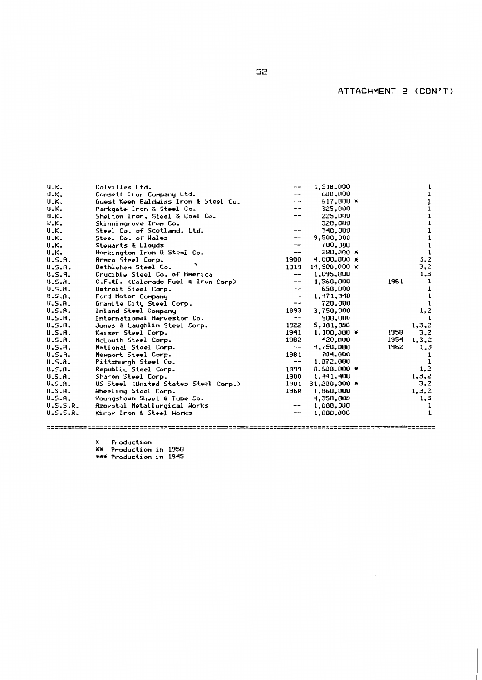ATTACHMENT 2 (CON'T)

| $U_K$ .       | Colvilles Ltd.                       | --                       | 1,518,000           |      |         |
|---------------|--------------------------------------|--------------------------|---------------------|------|---------|
| $U-K$         | Consett Iron Company Ltd.            |                          | 600.000             |      |         |
| <b>U.K.</b>   | Guest Keen Baldwins Iron & Steel Co. | --                       | $617,000$ $*$       |      |         |
| $U$ . $K$ .   | Parkgate Iron & Steel Co.            | --                       | 325,000             |      |         |
| <b>U.K.</b>   | Shelton Iron, Steel & Coal Co.       | --                       | 225,000             |      |         |
| $U-K$         | Skinningrove Iron Co.                |                          | 320,000             |      |         |
| U.K.          | Steel Co. of Scotland, Ltd.          | --                       | 340,000             |      |         |
| $U-K$         | Steel Co. of Hales                   | --                       | 9,500,000           |      |         |
| <b>U.K.</b>   | Stewarts & Lloyds                    | --                       | 700,000             |      |         |
| U.K.          | Horkington Iron & Steel Co.          | --                       | 280,000 *           |      |         |
| U.S.A.        | Armco Steel Corp.                    | 1900                     | $4.000.000 \times$  |      | 3,2     |
| U.S.A.        | Bethlehem Steel Co.                  | 1919                     | 14.500.000 X        |      | 3,2     |
| U.S.A.        | Crucible Steel Co. of America        | --                       | 1,095,000           |      | 1,3     |
| U.S.A.        | C.F.&I. (Colorado Fuel & Iron Corp)  | $\overline{\phantom{a}}$ | 1,560,000           | 1961 |         |
| U.S.A.        | Detroit Steel Corp.                  | --                       | 650,000             |      | 1       |
| U.S.A.        | Ford Hotor Company                   | $\overline{\phantom{a}}$ | 1,471,940           |      | 1       |
| U.S.A.        | Granite City Steel Corp.             | --                       | 720.000             |      |         |
| U.S.A.        | Inland Steel Company                 | 1893                     | 3,750,000           |      | 1,2     |
| U.S.A.        | International Harvestor Co.          | --                       | 300,000             |      |         |
| U.S.A.        | Jones & Laughlin Steel Corp.         | 1922                     | 5,101,000           |      | 1, 3, 2 |
| U.S.A.        | Kaiser Steel Corp.                   | 1941                     | $1.100.000 \times$  | 1958 | 3,2     |
| U.S.A.        | McLouth Steel Corp.                  | 1982                     | 420,000             | 1954 | 1, 3, 2 |
| U.S.A.        | National Stoel Corp.                 | --                       | 4,750,000           | 1962 | 1,3     |
| U.S.A.        | Newport Steel Corp.                  | 1981                     | 704.000             |      |         |
| U.S.A.        | Pittsburgh Steel Co.                 | --                       | 1,072,000           |      |         |
| <b>U.S.A.</b> | Republic Steel Corp.                 | 1399                     | 8,600,000 ¥         |      | 1,2     |
| U.S.A.        | Sharon Steel Corp.                   | 1900                     | 1,441,400           |      | 1, 3, 2 |
| U.S.A.        | US Steel (United States Steel Corp.) | 1901                     | $31,200,000 \times$ |      | 3,2     |
| <b>U.S.A.</b> | Hheeling Steel Corp.                 | 1968                     | 1,860,000           |      | 1, 3, 2 |
| U.S.A.        | Youngstown Sheet & Tube Co.          | --                       | 4,350,000           |      | 1,3     |
| U.S.S.R.      | Azovstal Metallurgical Works         | --                       | 1,000,000           |      |         |
| U.S.S.R.      | Kirov Iron & Steel Horks             | --                       | 1,000,000           |      | 1       |
|               |                                      |                          |                     |      |         |

\* Production<br>\*\* Production in 1950<br>\*\*\* Production in 1945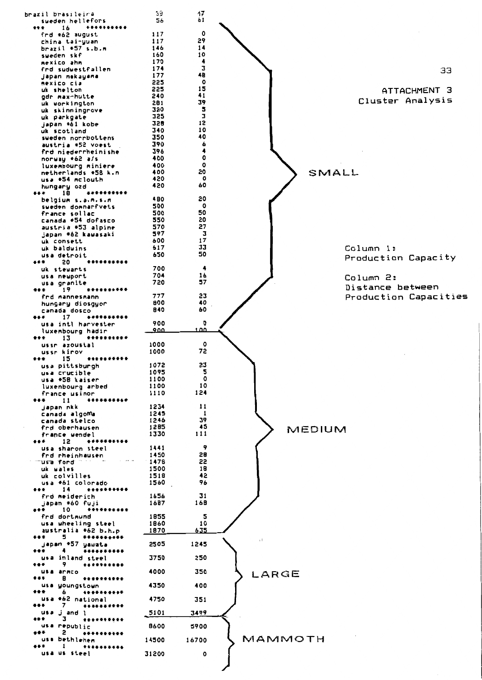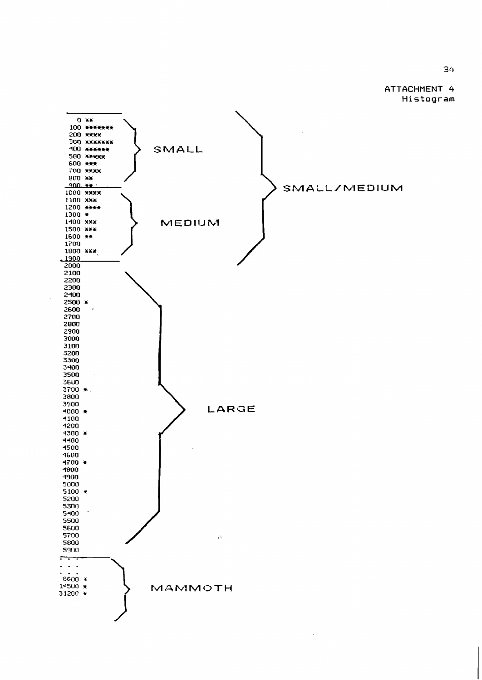ATTACHMENT 4 Histogram



J,

34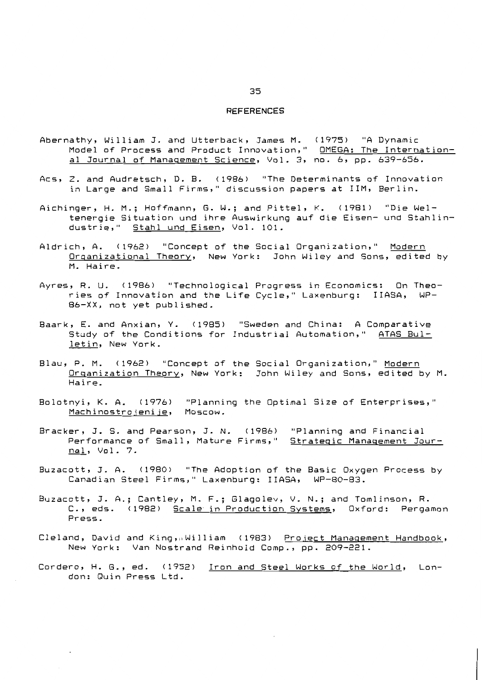#### **REFERENCES**

- Abernathy, William J. and Utterback, James M. (1975) "A Dynamic<br>Model of Process and Product Innovation," <u>OMEGA: The Internation-</u> al Journal of Management Science, Vol. 3, no. 6, pp. 639-656.
- Acs, Z. and Audretsch, D. B. (1986) "The Determinants of Innovation in Large and Small Firms," discussion papers at IIM, Berlin.
- Aichinger, H. M.; Hoffmann, G. W.; and Pittel, K. (1981) "Die Weltenergie Situation und ihre Auswirkung auf die Eisen- und Stahlindustrie," Stahl und Eisen, Vol. 101.
- Aldrich, A. (1962) "Concept of the Social Organization," Modern Organizational Theory, New York: John Wiley and Sons, edited by M. Haire.
- Ayres, R. U. (1986) "Technological Progress in Economics: On Theories of Innovation and the Life Cycle," Laxenburg: IIASA, WP-86-XX, not yet published.
- Baark, E. and Anxian, Y. (1985) "Sweden and China: A Comparative Study of the Conditions for Industrial Automation," ATAS Bulletin, New York.
- Blau, P. M. (1962) "Concept of the Social Organization," Modern Organization Theory, New York: John Wiley and Sons, edited by M. Haire.
- Bolotnyi, K. A. (1976) "Planning the Optimal Size of Enterprises," Machinostrojenije, Moscow.
- Bracker, J. S. and Pearson, J. N. (1986) "Planning and Financial Performance of Small, Mature Firms," Strategic Management Journal, Vol. 7.
- Buzacott, J. A. (1980) "The Adoption of the Basic Oxygen Process by Canadian Steel Firms," Laxenburg: IIASA, WP-80-83.
- Buzacott, J. A.; Cantley, M. F.; Glagolev, V. N.; and Tomlinson, R. C., eds. (1982) Scale in Production Systems, Oxford: Pergamon Press.
- Cleland, David and King, William (1983) Project Management Handbook, New York: Van Nostrand Reinhold Comp., pp. 209-221.
- Cordero, H. G., ed. (1952) Iron and Steel Works of the World, London: Quin Press Ltd.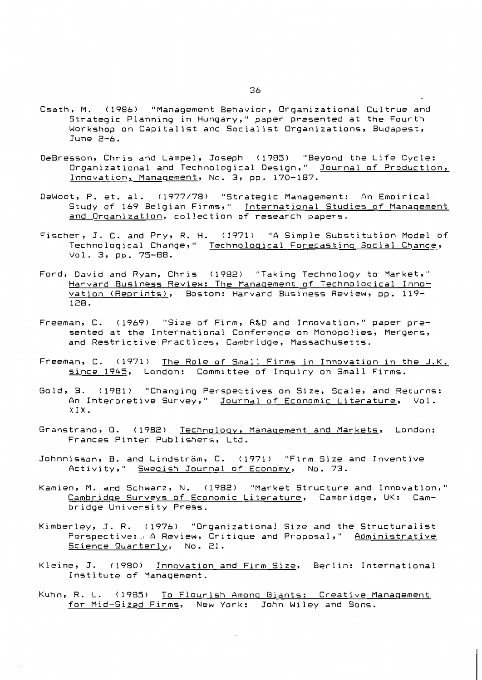- Csath, M. (1986) "Management Behavior, Organizational Cultrue and Strategic Planning in Hungary," paper presented at the Fourth Workshop on Capitalist and Socialist Organizations, Budapest, June  $2-6$ .
- DeBresson, Chris and Lampel, Joseph (1985) "Beyond the Life Cycle: Organizational and Technological Design," *Journal of Production,* Innovation, Management, No. 3, pp. 170-187.
- DeWoot, P. et. al. (1977/78) "Strategic Management: An Empirical Study of 169 Belgian Firms," International Studies of Management and Organization, collection of research papers.
- Fischer, J. C. and Pry, R. H. (1971) "A Simple Substitution Model of Technological Change," Technological Forecasting Social Change, Vol. 3, pp. 75-88.
- Ford, David and Ryan, Chris (1982) "Taking Technology to Market," Harvard Business Review: The Management of Technological Innovation (Reprints), Boston: Harvard Business Review, pp. 119- $128.$
- Freeman, C. (1969) "Size of Firm, R&D and Innovation," paper presented at the International Conference on Monopolies, Mergers, and Restrictive Practices, Cambridge, Massachusetts.
- Freeman, C. (1971) The Role of Small Firms in Innovation in the U.K. since 1945, London: Committee of Inquiry on Small Firms.
- Gold, B. (1981) "Changing Perspectives on Size, Scale, and Returns: An Interpretive Survey," Journal of Economic Literature, Vol.  $XIX.$
- Granstrand, Q. (1982) Technology, Management and Markets, London: Frances Pinter Publishers, Ltd.
- Johnnisson, B. and Lindsträm, C. (1971) "Firm Size and Inventive Activity," Swedish Journal of Economy, No. 73.
- Kamien, M. and Schwarz, N. (1982) "Market Structure and Innovation," Cambridge Surveys of Economic Literature, Cambridge, UK: Cambridge University Press.
- Kimberley, J. R. (1976) "Organizational Size and the Structuralist Perspective: A Review, Critique and Proposal," Administrative Science Quarterly, No. 21.
- Kleine, J. (1980) Innovation and Firm Size, Berlin: International Institute of Management.
- Kuhn, R. L. (1985) To Flourish Among Giants: Creative Management for Mid-Sized Firms, New York: John Wiley and Sons.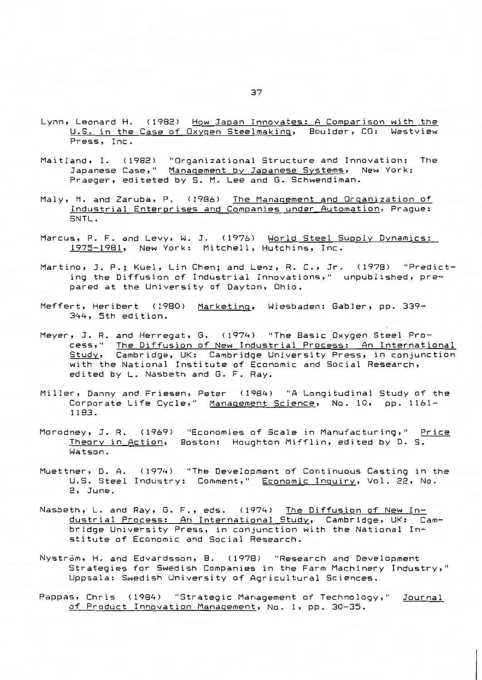- Lynn, Leonard H. (1982) How Japan Innovates: A Comparison with the U.S. in the Case of Oxygen Steelmaking, Boulder, CO: Westview Press, Inc.
- Maitland, I. (1982) "Organizational Structure and Innovation: The Japanese Case," Management by Japanese Systems, New York: Praeger, editeted by S. M. Lee and G. Schwendiman.
- Maly, M. and Zaruba, P. (1986) The Management and Organization of Industrial Enterprises and Companies under Automation, Praque: SNTL.
- Marcus, P. F. and Levy, W. J. (1976) World Steel Supply Dynamics: 1975-1981, New York: Mitchell, Hutchins, Inc.
- Martino, J. P.; Kuel, Lin Chen; and Lenz, R. C., Jr. (1978) "Predicting the Diffusion of Industrial Innovations," unpublished, prepared at the University of Dayton, Ohio.
- Meffert, Heribert (1980) Marketing, Wiesbaden: Gabler, pp. 339-344, 5th edition.
- Meyer, J. R. and Herregat, G. (1974) "The Basic Oxygen Steel Process," The Diffusion of New Industrial Process: An International Study, Cambridge, UK: Cambridge University Press, in conjunction with the National Institute of Economic and Social Research, edited by L. Nasbeth and G. F. Ray.
- Miller, Danny and Friesen, Peter (1984) "A Longitudinal Study of the Corporate Life Cycle," Management Science, No. 10, pp. 1161-1183.
- Morodney, J. R. (1969) "Economies of Scale in Manufacturing," Price Theory in Action, Boston: Houghton Mifflin, edited by D. S. Watson.
- Muettner, D. A. (1974) "The Development of Continuous Casting in the U.S. Steel Industry: Comment," Economic Inquiry, Vol. 22, No. 2, June.
- Nasbeth, L. and Ray, G. F., eds. (1974) The Diffusion of New Industrial Process: An International Study, Cambridge, UK: Cambridge University Press, in conjunction with the National Institute of Economic and Social Research.
- Nyström, H. and Edvardsson, B. (1978) "Research and Development Strategies for Swedish Companies in the Farm Machinery Industry," Uppsala: Swedish University of Agricultural Sciences.
- Pappas, Chris (1984) "Strategic Management of Technology," Journal of Product Innovation Management, No. 1, pp. 30-35.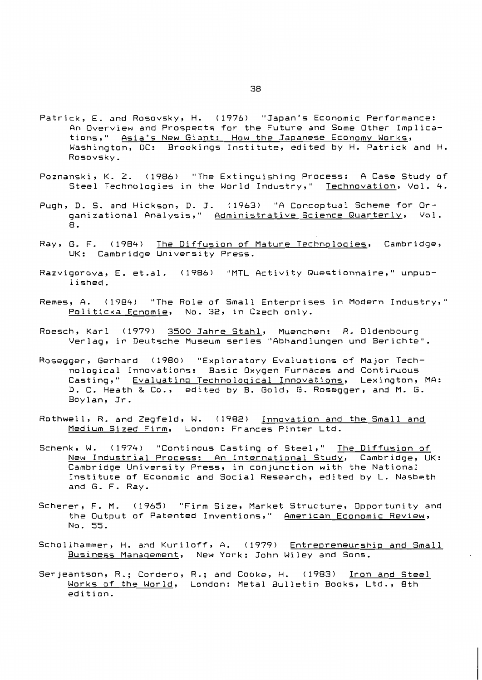- Patrick, E. and Rosovsky, H. (1976) "Japan's Economic Performance: An Overview and Prospects for the Future and Some Other Implications," Asia's New Giant: How the Japanese Economy Works, Washington, DC: Brookings Institute, edited by H. Patrick and H. Rosovsky.
- Poznanski, K. Z. (1986) "The Extinguishing Process: A Case Study of Steel Technologies in the World Industry," Technovation, Vol. 4.
- Pugh, D. S. and Hickson, D. J. (1963) "A Conceptual Scheme for Organizational Analysis," Administrative Science Quarterly, Vol. 8.
- Ray, G. F. (1984) The Diffusion of Mature Technologies, Cambridge, UK: Cambridge University Press.
- Razvigorova, E. et.al. (1986) "MTL Activity Questionnaire," unpublished.
- Remes, A. (1984) "The Role of Small Enterprises in Modern Industry," Politicka Ecnomie, No. 32, in Czech only.
- Roesch, Karl (1979) 3500 Jahre Stahl, Muenchen: R. Oldenbourg Verlag, in Deutsche Museum series "Abhandlungen und Berichte".
- Rosegger, Gerhard (1980) "Exploratory Evaluations of Major Technological Innovations: Basic Oxygen Furnaces and Continuous Casting," Evaluating Technological Innovations, Lexington, MA: D. C. Heath & Co., edited by B. Gold, G. Rosegger, and M. G. Boylan, Jr.
- Rothwell, R. and Zegfeld, W. (1982) Innovation and the Small and Medium Sized Firm, London: Frances Pinter Ltd.
- Schenk, W. (1974) "Continous Casting of Steel," The Diffusion of New Industrial Process: An International Study, Cambridge, UK: Cambridge University Press, in conjunction with the National Institute of Economic and Social Research, edited by L. Nasbeth and G. F. Ray.
- Scherer, F. M. (1965) "Firm Size, Market Structure, Opportunity and the Output of Patented Inventions," American Economic Review, No. 55.
- Schollhammer, H. and Kuriloff, A. (1979) Entrepreneurship and Small Business Management, New York: John Wiley and Sons.
- Serjeantson, R.; Cordero, R.; and Cooke, H. (1983) Iron and Steel Works of the World, London: Metal Bulletin Books, Ltd., 8th edition.